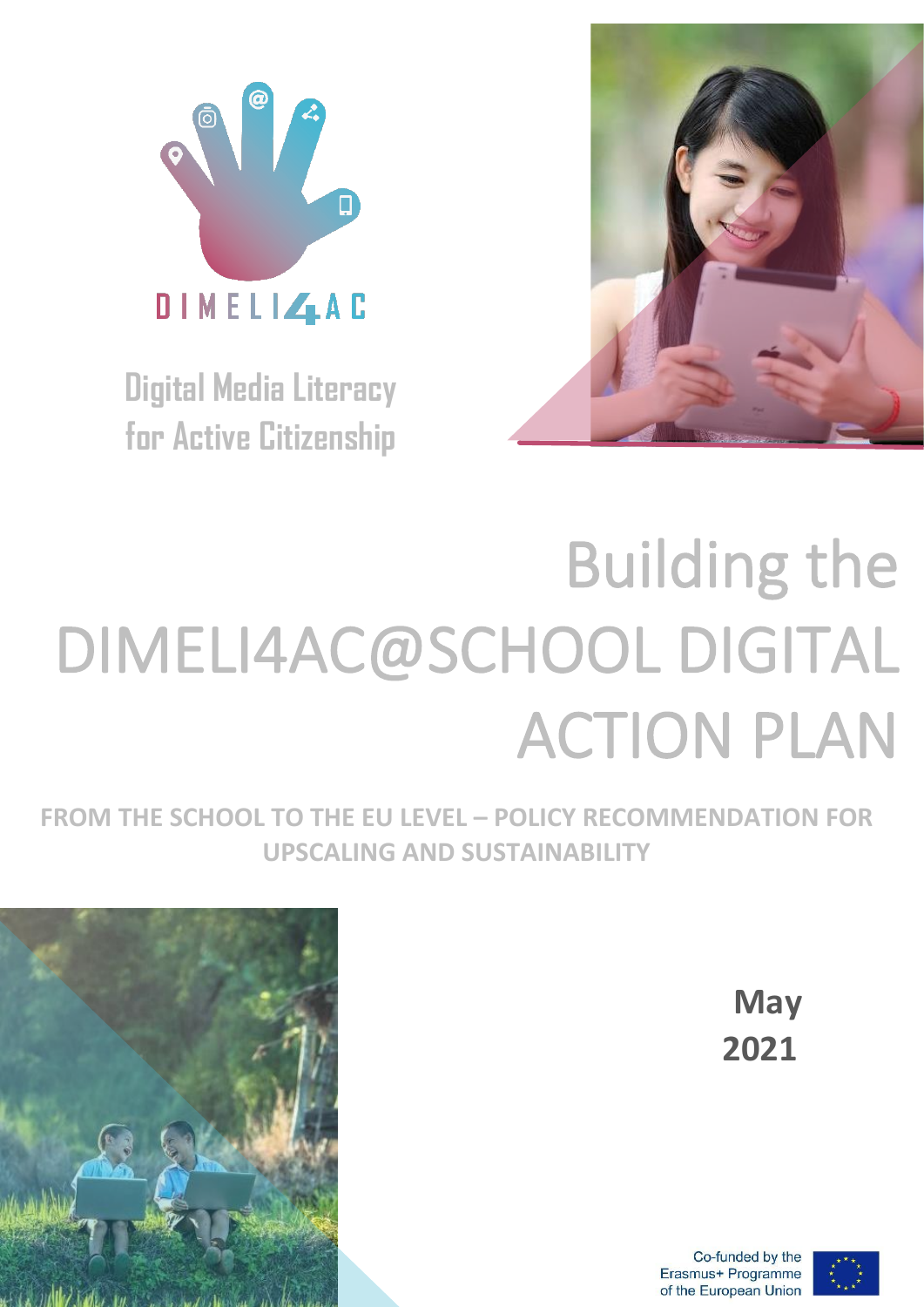

**Digital Media Literacy for Active Citizenship**



# Building the DIMELI4AC@SCHOOL DIGITAL ACTION PLAN

**FROM THE SCHOOL TO THE EU LEVEL – POLICY RECOMMENDATION FOR UPSCALING AND SUSTAINABILITY**



**May 2021**

Co-funded by the Erasmus+ Programme of the European Union

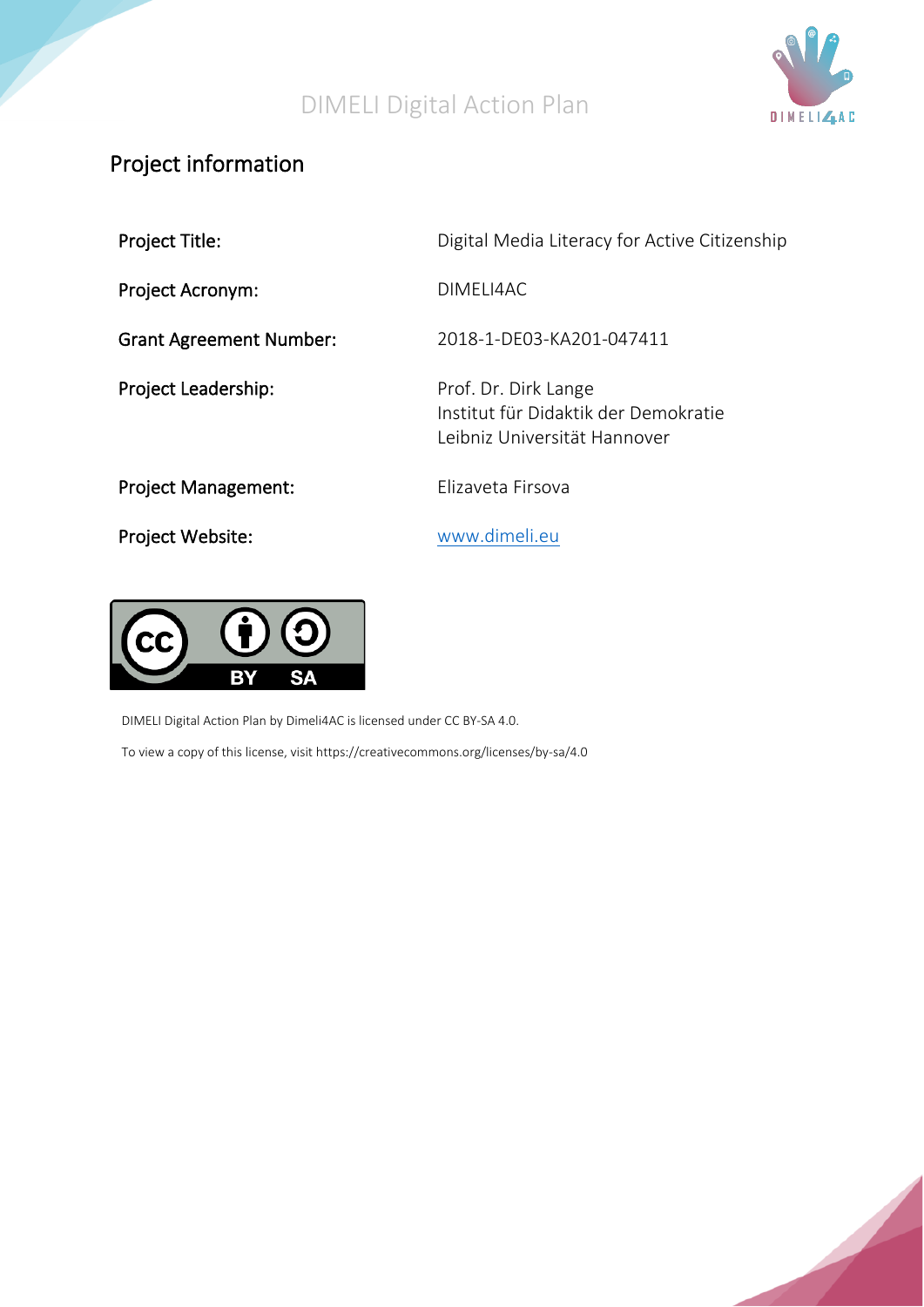

## Project information

Project Acronym: DIMELI4AC

Project Leadership:

Project Title: The Contract Contract Digital Media Literacy for Active Citizenship

Grant Agreement Number: 2018-1-DE03-KA201-047411

Prof. Dr. Dirk Lange Institut für Didaktik der Demokratie Leibniz Universität Hannover

Project Management: Elizaveta Firsova

Project Website: [www.dimeli.eu](file:///C:/Users/DELL/AppData/Roaming/Microsoft/Word/www.dimeli.eu)



DIMELI Digital Action Plan by Dimeli4AC is licensed under CC BY-SA 4.0. To view a copy of this license, visit https://creativecommons.org/licenses/by-sa/4.0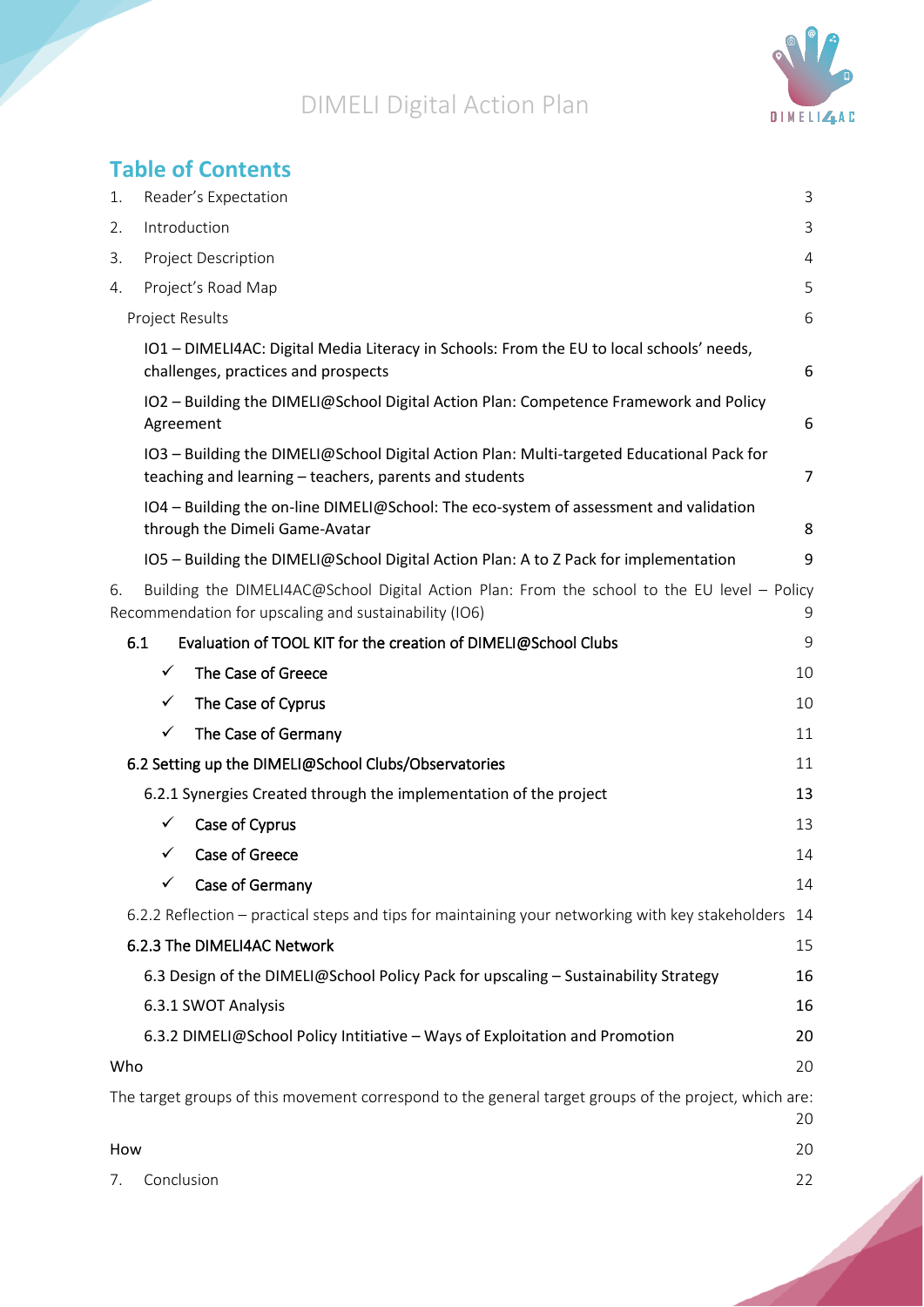

# **Table of Contents**

| 1.  | Reader's Expectation                                                                                                                                 | 3              |  |
|-----|------------------------------------------------------------------------------------------------------------------------------------------------------|----------------|--|
| 2.  | Introduction<br>3                                                                                                                                    |                |  |
| 3.  | Project Description                                                                                                                                  |                |  |
| 4.  | Project's Road Map                                                                                                                                   | 5              |  |
|     | <b>Project Results</b>                                                                                                                               | 6              |  |
|     | IO1 - DIMELI4AC: Digital Media Literacy in Schools: From the EU to local schools' needs,<br>challenges, practices and prospects                      | 6              |  |
|     | IO2 - Building the DIMELI@School Digital Action Plan: Competence Framework and Policy<br>Agreement                                                   | 6              |  |
|     | IO3 - Building the DIMELI@School Digital Action Plan: Multi-targeted Educational Pack for<br>teaching and learning - teachers, parents and students  | $\overline{7}$ |  |
|     | IO4 - Building the on-line DIMELI@School: The eco-system of assessment and validation<br>through the Dimeli Game-Avatar                              | 8              |  |
|     | IO5 - Building the DIMELI@School Digital Action Plan: A to Z Pack for implementation                                                                 | 9              |  |
| 6.  | Building the DIMELI4AC@School Digital Action Plan: From the school to the EU level - Policy<br>Recommendation for upscaling and sustainability (IO6) | 9              |  |
|     | 6.1<br>Evaluation of TOOL KIT for the creation of DIMELI@School Clubs                                                                                | 9              |  |
|     | $\checkmark$<br>The Case of Greece                                                                                                                   | 10             |  |
|     | The Case of Cyprus<br>✓                                                                                                                              | 10             |  |
|     | ✓<br>The Case of Germany                                                                                                                             | 11             |  |
|     | 6.2 Setting up the DIMELI@School Clubs/Observatories                                                                                                 | 11             |  |
|     | 6.2.1 Synergies Created through the implementation of the project                                                                                    | 13             |  |
|     | Case of Cyprus<br>✓                                                                                                                                  | 13             |  |
|     | Case of Greece<br>✓                                                                                                                                  | 14             |  |
|     | Case of Germany                                                                                                                                      | 14             |  |
|     | 6.2.2 Reflection – practical steps and tips for maintaining your networking with key stakeholders                                                    | 14             |  |
|     | 6.2.3 The DIMELI4AC Network                                                                                                                          | 15             |  |
|     | 6.3 Design of the DIMELI@School Policy Pack for upscaling - Sustainability Strategy                                                                  | 16             |  |
|     | 6.3.1 SWOT Analysis                                                                                                                                  | 16             |  |
|     | 6.3.2 DIMELI@School Policy Intitiative - Ways of Exploitation and Promotion                                                                          | 20             |  |
| Who |                                                                                                                                                      | 20             |  |
|     | The target groups of this movement correspond to the general target groups of the project, which are:                                                | 20             |  |
| How |                                                                                                                                                      | 20             |  |
| 7.  | Conclusion                                                                                                                                           | 22             |  |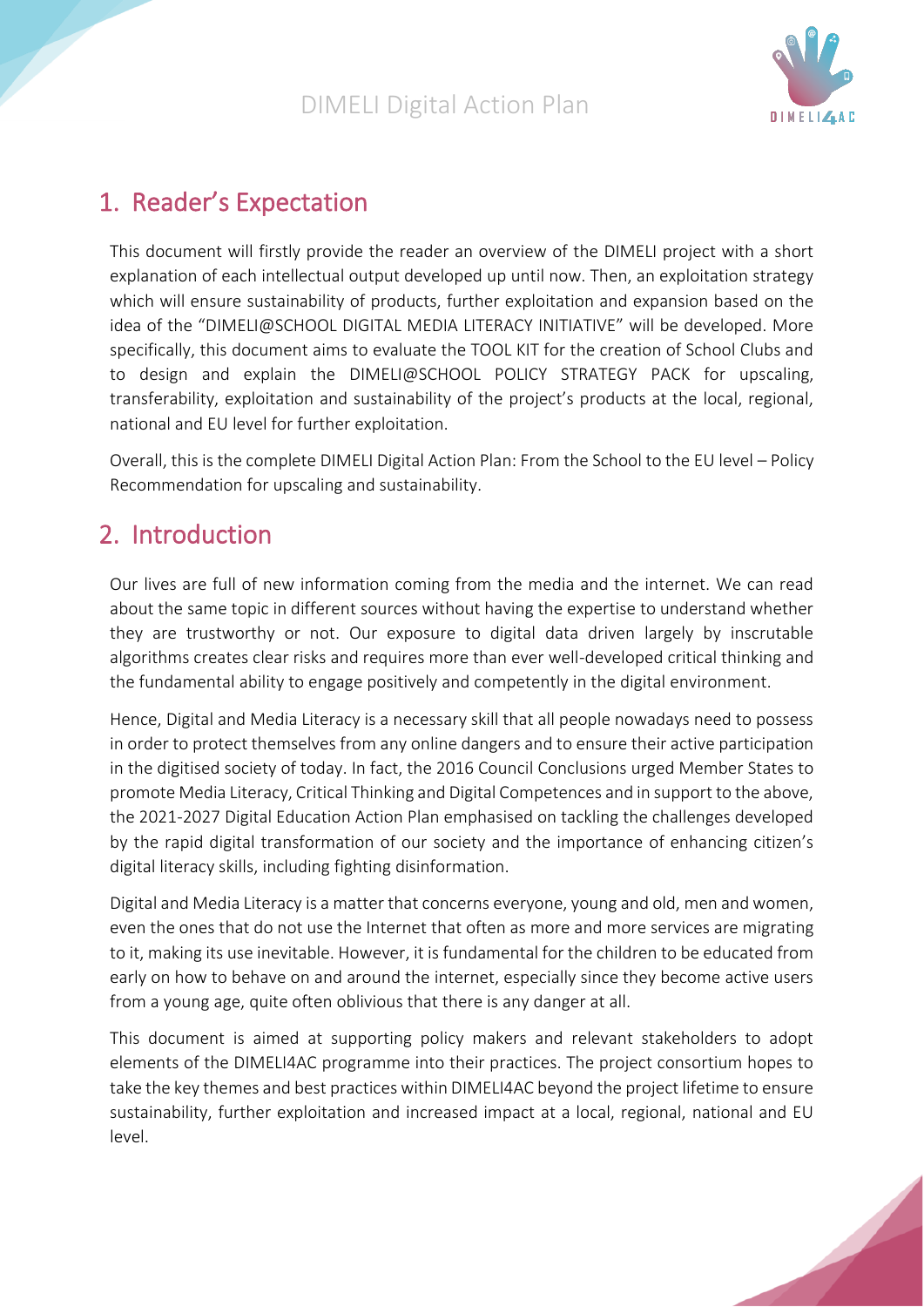

# <span id="page-3-0"></span>1. Reader's Expectation

This document will firstly provide the reader an overview of the DIMELI project with a short explanation of each intellectual output developed up until now. Then, an exploitation strategy which will ensure sustainability of products, further exploitation and expansion based on the idea of the "DIMELI@SCHOOL DIGITAL MEDIA LITERACY INITIATIVE" will be developed. More specifically, this document aims to evaluate the TOOL KIT for the creation of School Clubs and to design and explain the DIMELI@SCHOOL POLICY STRATEGY PACK for upscaling, transferability, exploitation and sustainability of the project's products at the local, regional, national and EU level for further exploitation.

Overall, this is the complete DIMELI Digital Action Plan: From the School to the EU level – Policy Recommendation for upscaling and sustainability.

# <span id="page-3-1"></span>2. Introduction

Our lives are full of new information coming from the media and the internet. We can read about the same topic in different sources without having the expertise to understand whether they are trustworthy or not. Our exposure to digital data driven largely by inscrutable algorithms creates clear risks and requires more than ever well-developed critical thinking and the fundamental ability to engage positively and competently in the digital environment.

Hence, Digital and Media Literacy is a necessary skill that all people nowadays need to possess in order to protect themselves from any online dangers and to ensure their active participation in the digitised society of today. In fact, the 2016 Council Conclusions urged Member States to promote Media Literacy, Critical Thinking and Digital Competences and in support to the above, the 2021-2027 Digital Education Action Plan emphasised on tackling the challenges developed by the rapid digital transformation of our society and the importance of enhancing citizen's digital literacy skills, including fighting disinformation.

Digital and Media Literacy is a matter that concerns everyone, young and old, men and women, even the ones that do not use the Internet that often as more and more services are migrating to it, making its use inevitable. However, it is fundamental for the children to be educated from early on how to behave on and around the internet, especially since they become active users from a young age, quite often oblivious that there is any danger at all.

This document is aimed at supporting policy makers and relevant stakeholders to adopt elements of the DIMELI4AC programme into their practices. The project consortium hopes to take the key themes and best practices within DIMELI4AC beyond the project lifetime to ensure sustainability, further exploitation and increased impact at a local, regional, national and EU level.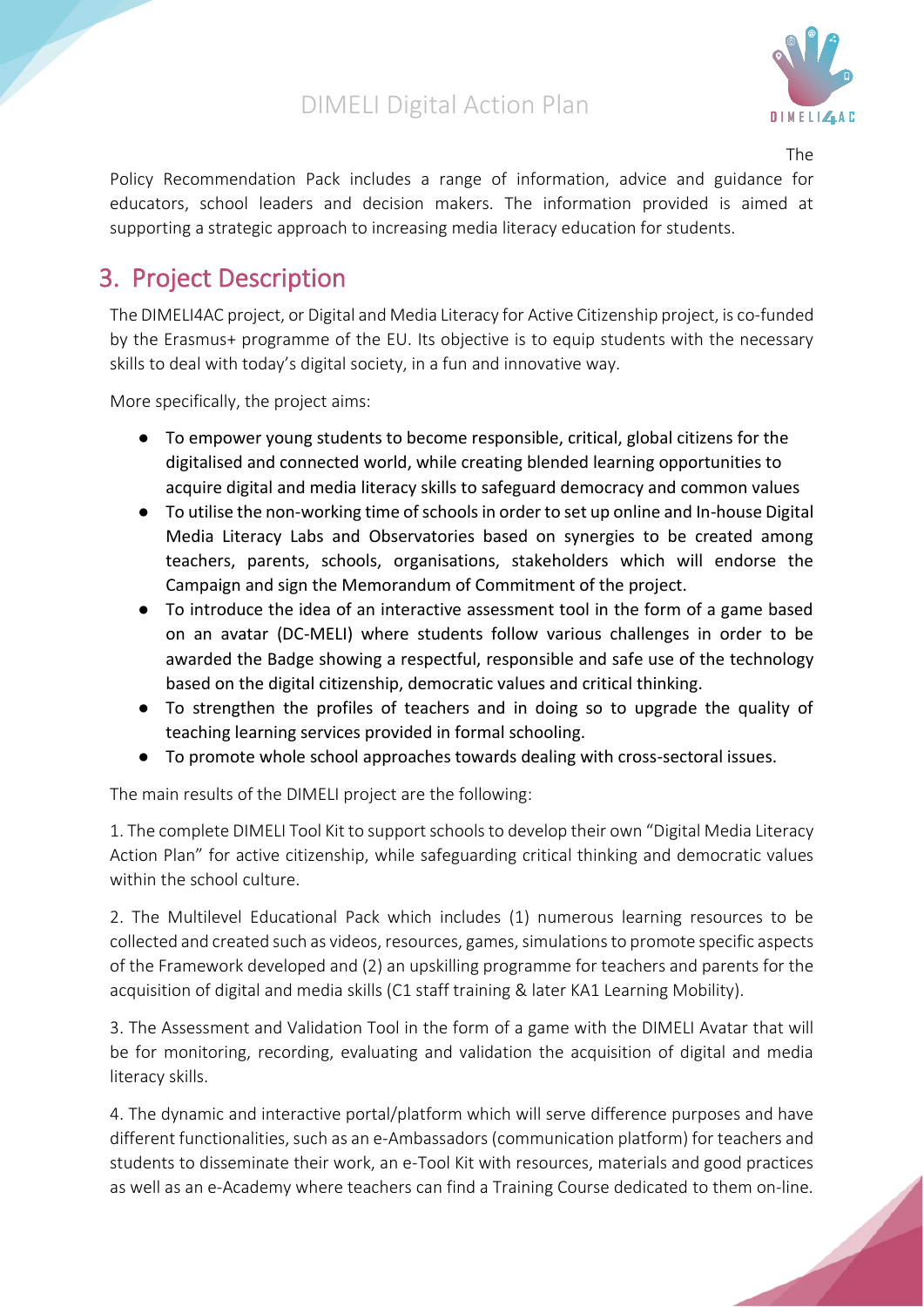

The

Policy Recommendation Pack includes a range of information, advice and guidance for educators, school leaders and decision makers. The information provided is aimed at supporting a strategic approach to increasing media literacy education for students.

# <span id="page-4-0"></span>3. Project Description

The DIMELI4AC project, or Digital and Media Literacy for Active Citizenship project, is co-funded by the Erasmus+ programme of the EU. Its objective is to equip students with the necessary skills to deal with today's digital society, in a fun and innovative way.

More specifically, the project aims:

- To empower young students to become responsible, critical, global citizens for the digitalised and connected world, while creating blended learning opportunities to acquire digital and media literacy skills to safeguard democracy and common values
- To utilise the non-working time of schools in order to set up online and In-house Digital Media Literacy Labs and Observatories based on synergies to be created among teachers, parents, schools, organisations, stakeholders which will endorse the Campaign and sign the Memorandum of Commitment of the project.
- To introduce the idea of an interactive assessment tool in the form of a game based on an avatar (DC-MELI) where students follow various challenges in order to be awarded the Badge showing a respectful, responsible and safe use of the technology based on the digital citizenship, democratic values and critical thinking.
- To strengthen the profiles of teachers and in doing so to upgrade the quality of teaching learning services provided in formal schooling.
- To promote whole school approaches towards dealing with cross-sectoral issues.

The main results of the DIMELI project are the following:

1. The complete DIMELI Tool Kit to support schools to develop their own "Digital Media Literacy Action Plan" for active citizenship, while safeguarding critical thinking and democratic values within the school culture.

2. The Multilevel Educational Pack which includes (1) numerous learning resources to be collected and created such as videos, resources, games, simulations to promote specific aspects of the Framework developed and (2) an upskilling programme for teachers and parents for the acquisition of digital and media skills (C1 staff training & later KA1 Learning Mobility).

3. The Assessment and Validation Tool in the form of a game with the DIMELI Avatar that will be for monitoring, recording, evaluating and validation the acquisition of digital and media literacy skills.

4. The dynamic and interactive portal/platform which will serve difference purposes and have different functionalities, such as an e-Ambassadors (communication platform) for teachers and students to disseminate their work, an e-Tool Kit with resources, materials and good practices as well as an e-Academy where teachers can find a Training Course dedicated to them on-line.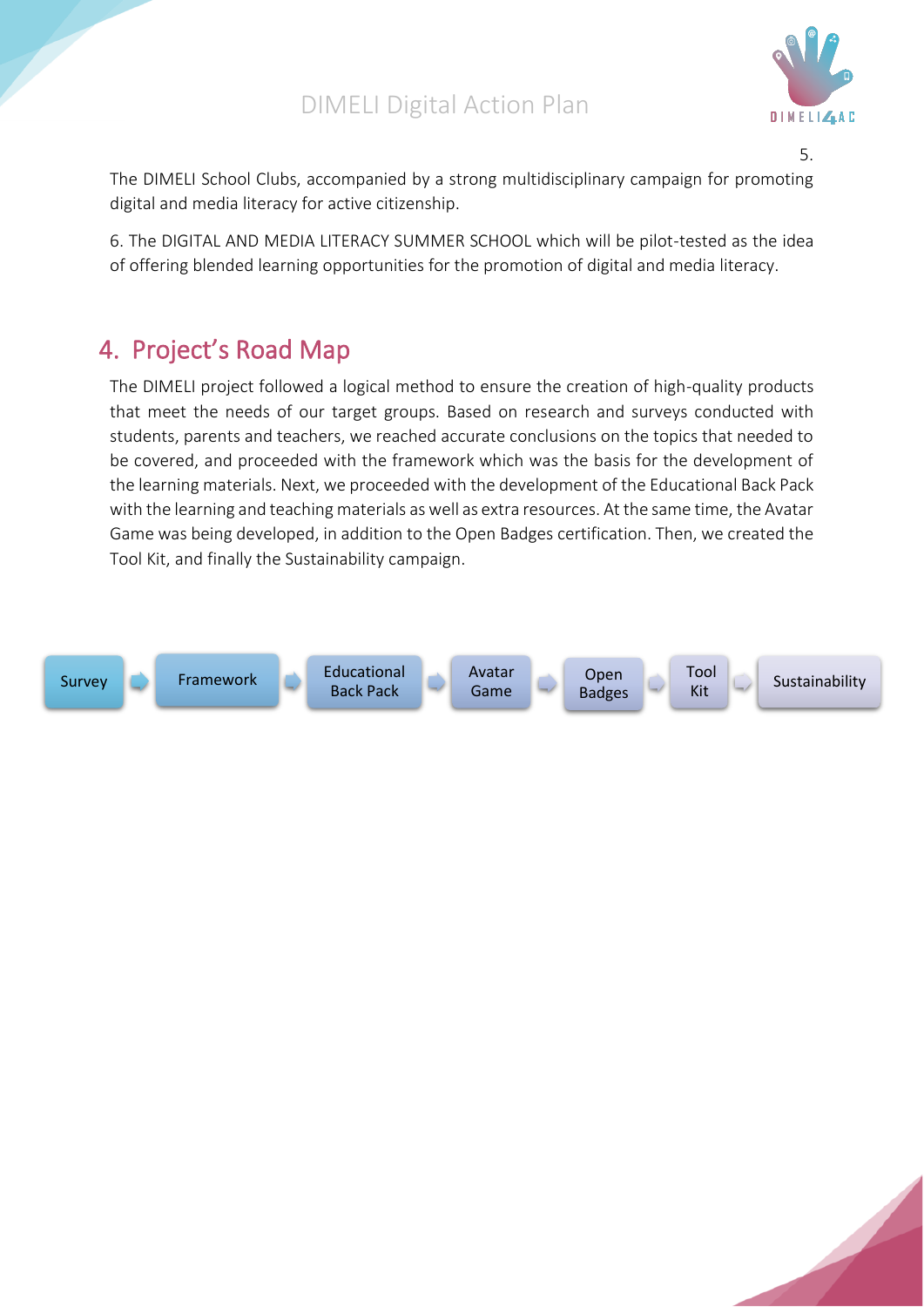

5.

The DIMELI School Clubs, accompanied by a strong multidisciplinary campaign for promoting digital and media literacy for active citizenship.

6. The DIGITAL AND MEDIA LITERACY SUMMER SCHOOL which will be pilot-tested as the idea of offering blended learning opportunities for the promotion of digital and media literacy.

# <span id="page-5-0"></span>4. Project's Road Map

The DIMELI project followed a logical method to ensure the creation of high-quality products that meet the needs of our target groups. Based on research and surveys conducted with students, parents and teachers, we reached accurate conclusions on the topics that needed to be covered, and proceeded with the framework which was the basis for the development of the learning materials. Next, we proceeded with the development of the Educational Back Pack with the learning and teaching materials as well as extra resources. At the same time, the Avatar Game was being developed, in addition to the Open Badges certification. Then, we created the Tool Kit, and finally the Sustainability campaign.



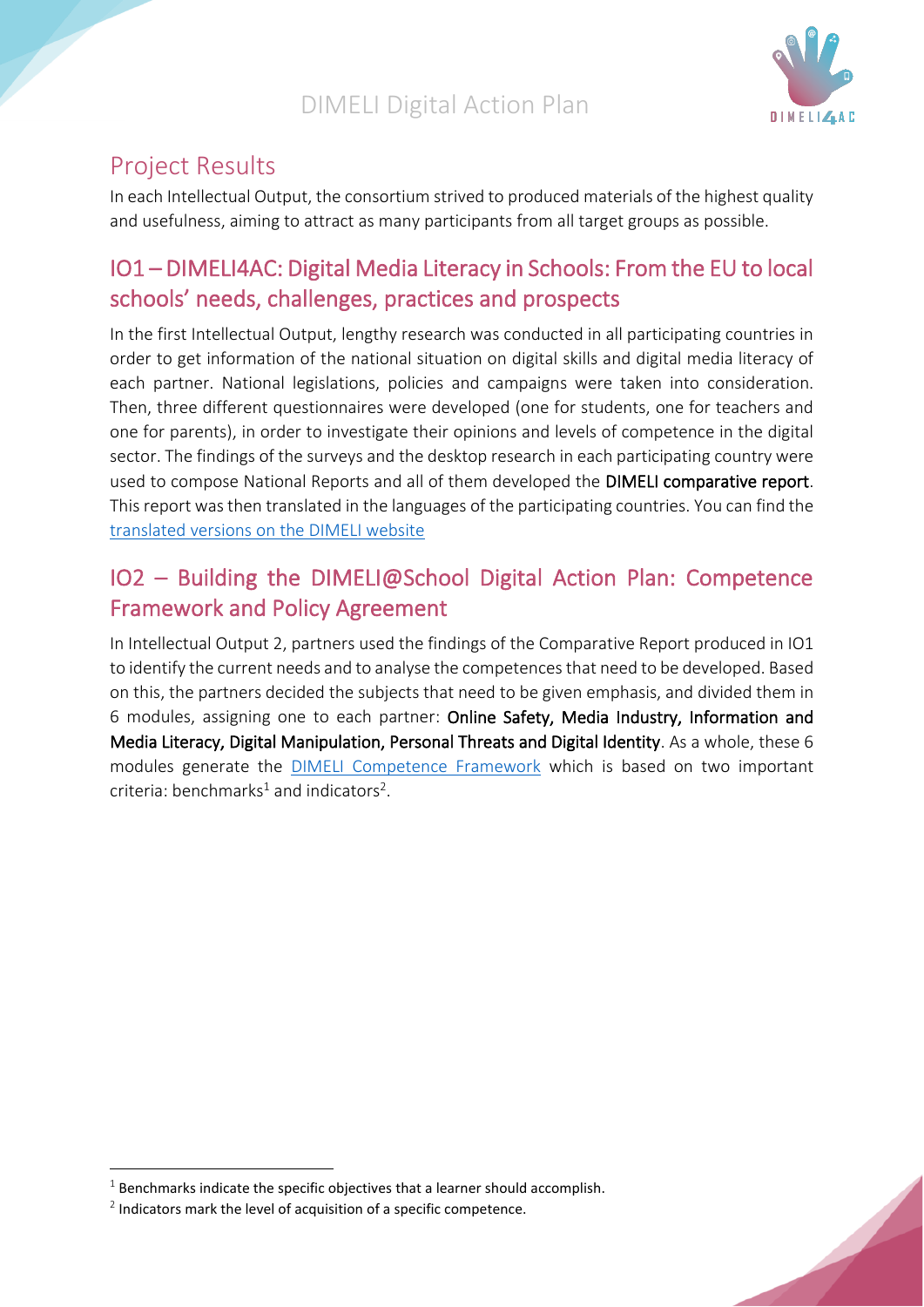

## <span id="page-6-0"></span>Project Results

In each Intellectual Output, the consortium strived to produced materials of the highest quality and usefulness, aiming to attract as many participants from all target groups as possible.

## <span id="page-6-1"></span>IO1 – DIMELI4AC: Digital Media Literacy in Schools: From the EU to local schools' needs, challenges, practices and prospects

In the first Intellectual Output, lengthy research was conducted in all participating countries in order to get information of the national situation on digital skills and digital media literacy of each partner. National legislations, policies and campaigns were taken into consideration. Then, three different questionnaires were developed (one for students, one for teachers and one for parents), in order to investigate their opinions and levels of competence in the digital sector. The findings of the surveys and the desktop research in each participating country were used to compose National Reports and all of them developed the DIMELI comparative report. This report was then translated in the languages of the participating countries. You can find the [translated versions on the DIMELI website](http://dimeli.eu/comparative-report/)

## <span id="page-6-2"></span>IO2 – Building the DIMELI@School Digital Action Plan: Competence Framework and Policy Agreement

In Intellectual Output 2, partners used the findings of the Comparative Report produced in IO1 to identify the current needs and to analyse the competences that need to be developed. Based on this, the partners decided the subjects that need to be given emphasis, and divided them in 6 modules, assigning one to each partner: Online Safety, Media Industry, Information and Media Literacy, Digital Manipulation, Personal Threats and Digital Identity. As a whole, these 6 modules generate the [DIMELI Competence Framework](http://dimeli.eu/competence-framework/) which is based on two important criteria: benchmarks<sup>1</sup> and indicators<sup>2</sup>.

 $1$  Benchmarks indicate the specific objectives that a learner should accomplish.

 $2$  Indicators mark the level of acquisition of a specific competence.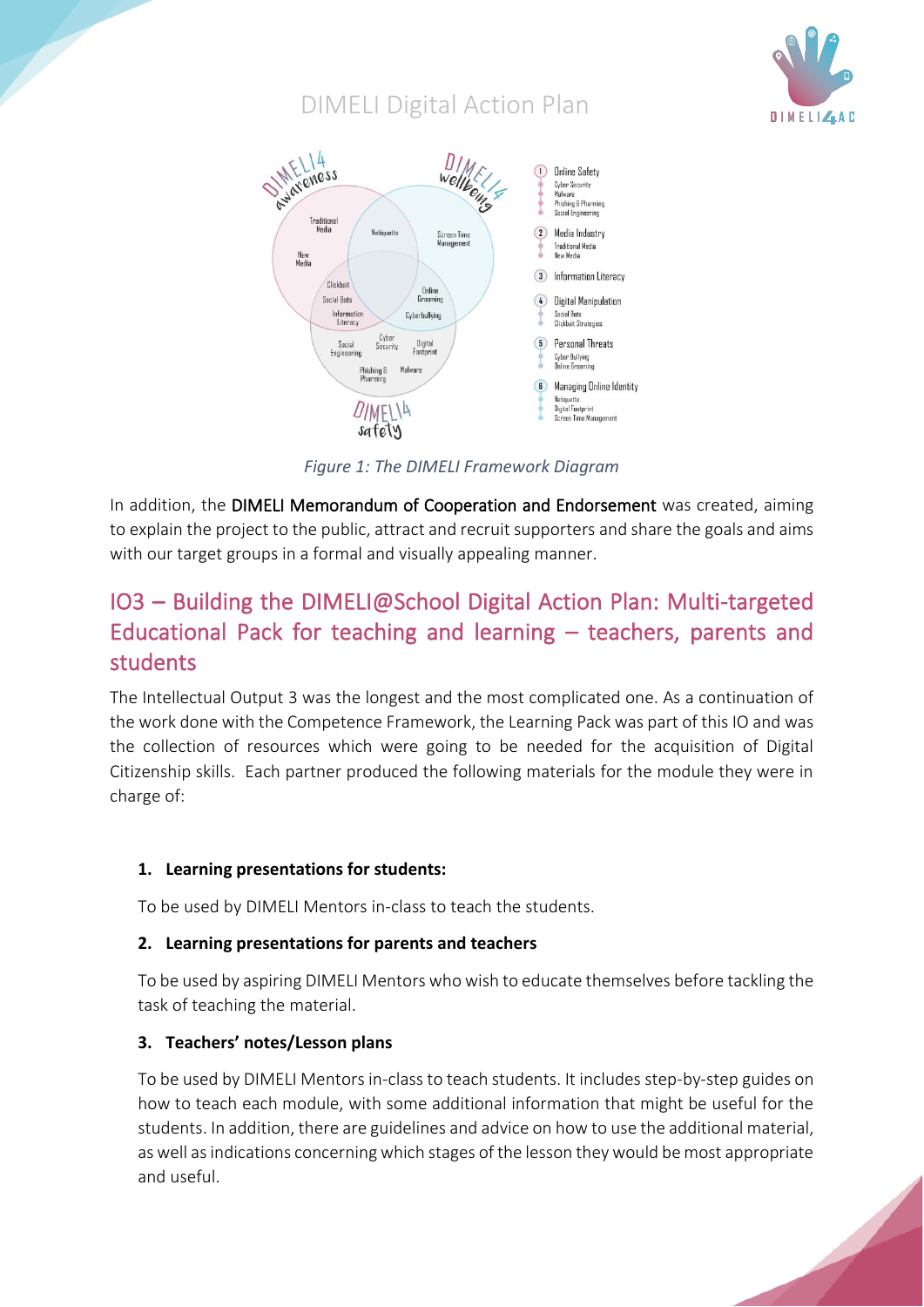



*Figure 1: The DIMELI Framework Diagram*

In addition, the DIMELI Memorandum of Cooperation and Endorsement was created, aiming to explain the project to the public, attract and recruit supporters and share the goals and aims with our target groups in a formal and visually appealing manner.

# <span id="page-7-0"></span>IO3 – Building the DIMELI@School Digital Action Plan: Multi-targeted Educational Pack for teaching and learning – teachers, parents and students

The Intellectual Output 3 was the longest and the most complicated one. As a continuation of the work done with the Competence Framework, the Learning Pack was part of this IO and was the collection of resources which were going to be needed for the acquisition of Digital Citizenship skills. Each partner produced the following materials for the module they were in charge of:

#### **1. Learning presentations for students:**

To be used by DIMELI Mentors in-class to teach the students.

#### **2. Learning presentations for parents and teachers**

To be used by aspiring DIMELI Mentors who wish to educate themselves before tackling the task of teaching the material.

#### **3. Teachers' notes/Lesson plans**

To be used by DIMELI Mentors in-class to teach students. It includes step-by-step guides on how to teach each module, with some additional information that might be useful for the students. In addition, there are guidelines and advice on how to use the additional material, as well as indications concerning which stages of the lesson they would be most appropriate and useful.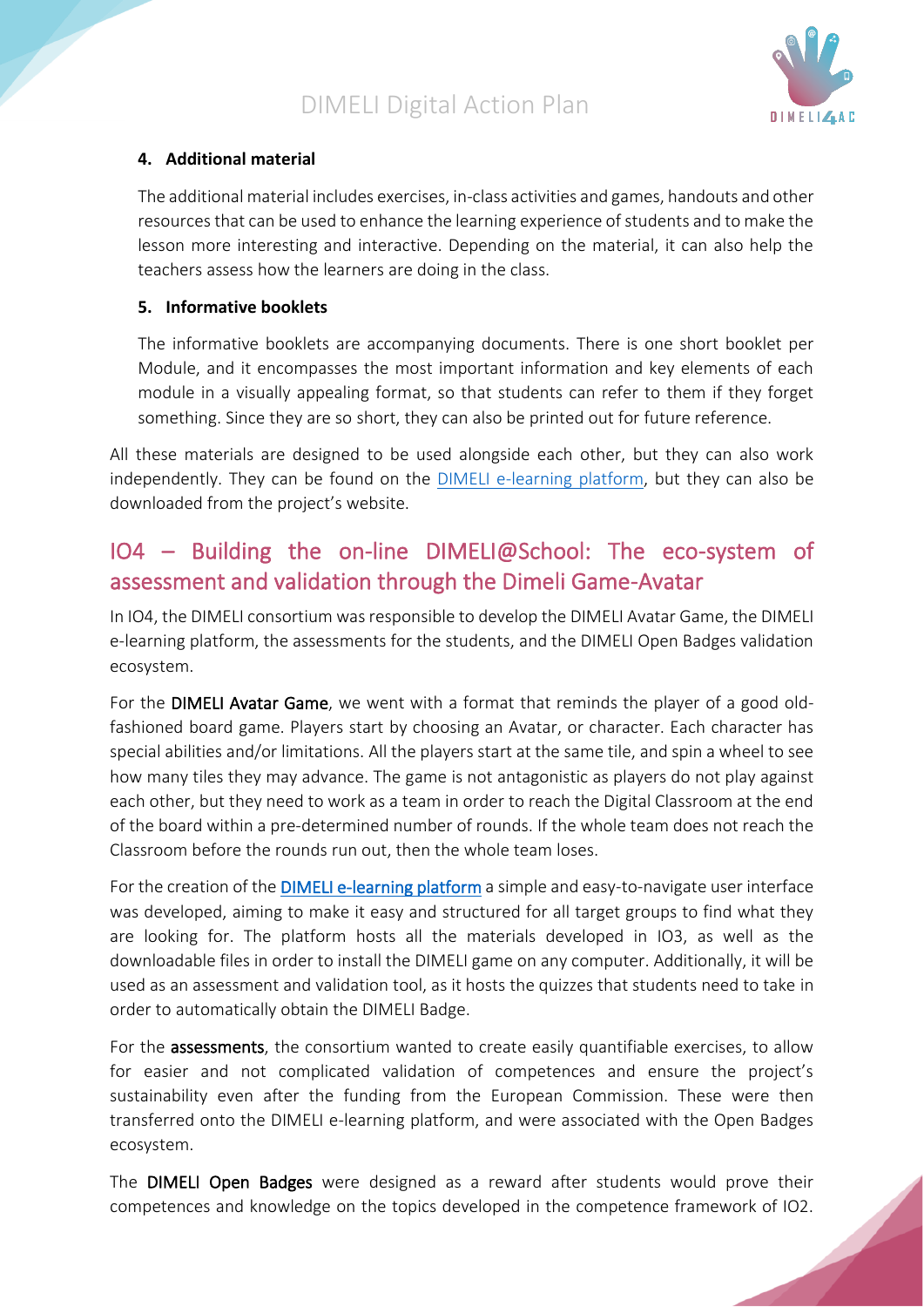

#### **4. Additional material**

The additional material includes exercises, in-class activities and games, handouts and other resources that can be used to enhance the learning experience of students and to make the lesson more interesting and interactive. Depending on the material, it can also help the teachers assess how the learners are doing in the class.

#### **5. Informative booklets**

The informative booklets are accompanying documents. There is one short booklet per Module, and it encompasses the most important information and key elements of each module in a visually appealing format, so that students can refer to them if they forget something. Since they are so short, they can also be printed out for future reference.

All these materials are designed to be used alongside each other, but they can also work independently. They can be found on the [DIMELI e-learning platform,](https://dimeli.erasmusplus.website/) but they can also be downloaded from the project's website.

## <span id="page-8-0"></span>IO4 – Building the on-line DIMELI@School: The eco-system of assessment and validation through the Dimeli Game-Avatar

In IO4, the DIMELI consortium was responsible to develop the DIMELI Avatar Game, the DIMELI e-learning platform, the assessments for the students, and the DIMELI Open Badges validation ecosystem.

For the DIMELI Avatar Game, we went with a format that reminds the player of a good oldfashioned board game. Players start by choosing an Avatar, or character. Each character has special abilities and/or limitations. All the players start at the same tile, and spin a wheel to see how many tiles they may advance. The game is not antagonistic as players do not play against each other, but they need to work as a team in order to reach the Digital Classroom at the end of the board within a pre-determined number of rounds. If the whole team does not reach the Classroom before the rounds run out, then the whole team loses.

For the creation of th[e DIMELI e-learning platform](https://dimeli.erasmusplus.website/) a simple and easy-to-navigate user interface was developed, aiming to make it easy and structured for all target groups to find what they are looking for. The platform hosts all the materials developed in IO3, as well as the downloadable files in order to install the DIMELI game on any computer. Additionally, it will be used as an assessment and validation tool, as it hosts the quizzes that students need to take in order to automatically obtain the DIMELI Badge.

For the **assessments**, the consortium wanted to create easily quantifiable exercises, to allow for easier and not complicated validation of competences and ensure the project's sustainability even after the funding from the European Commission. These were then transferred onto the DIMELI e-learning platform, and were associated with the Open Badges ecosystem.

The DIMELI Open Badges were designed as a reward after students would prove their competences and knowledge on the topics developed in the competence framework of IO2.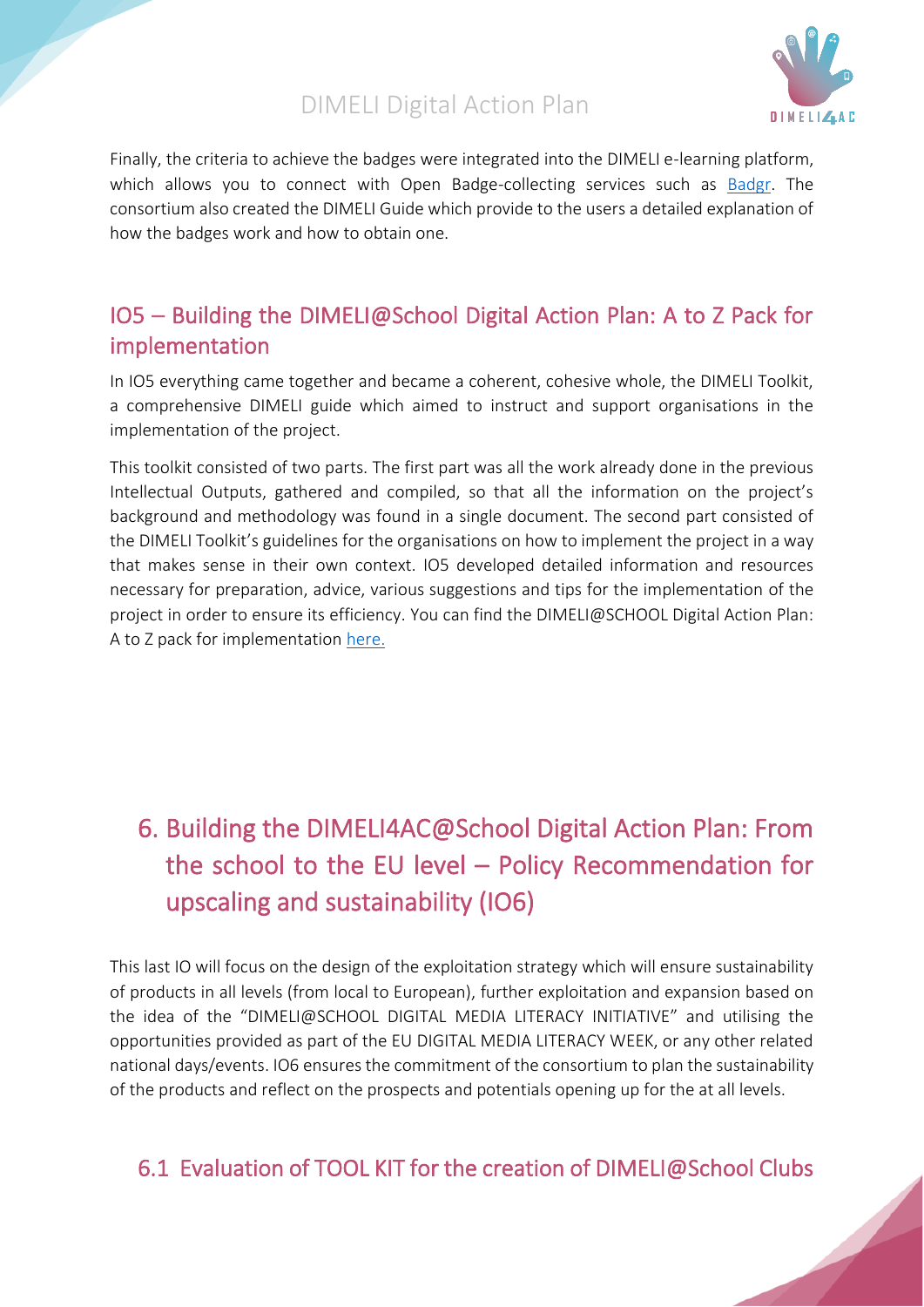

Finally, the criteria to achieve the badges were integrated into the DIMELI e-learning platform, which allows you to connect with Open Badge-collecting services such as [Badgr.](https://badgr.com/) The consortium also created the DIMELI Guide which provide to the users a detailed explanation of how the badges work and how to obtain one.

## <span id="page-9-0"></span>IO5 – Building the DIMELI@School Digital Action Plan: A to Z Pack for implementation

In IO5 everything came together and became a coherent, cohesive whole, the DIMELI Toolkit, a comprehensive DIMELI guide which aimed to instruct and support organisations in the implementation of the project.

This toolkit consisted of two parts. The first part was all the work already done in the previous Intellectual Outputs, gathered and compiled, so that all the information on the project's background and methodology was found in a single document. The second part consisted of the DIMELI Toolkit's guidelines for the organisations on how to implement the project in a way that makes sense in their own context. IO5 developed detailed information and resources necessary for preparation, advice, various suggestions and tips for the implementation of the project in order to ensure its efficiency. You can find the DIMELI@SCHOOL Digital Action Plan: A to Z pack for implementation [here.](http://dimeli.eu/a-zpack/)

# <span id="page-9-1"></span>6. Building the DIMELI4AC@School Digital Action Plan: From the school to the EU level – Policy Recommendation for upscaling and sustainability (IO6)

This last IO will focus on the design of the exploitation strategy which will ensure sustainability of products in all levels (from local to European), further exploitation and expansion based on the idea of the "DIMELI@SCHOOL DIGITAL MEDIA LITERACY INITIATIVE" and utilising the opportunities provided as part of the EU DIGITAL MEDIA LITERACY WEEK, or any other related national days/events. IO6 ensures the commitment of the consortium to plan the sustainability of the products and reflect on the prospects and potentials opening up for the at all levels.

# <span id="page-9-2"></span>6.1 Evaluation of TOOL KIT for the creation of DIMELI@School Clubs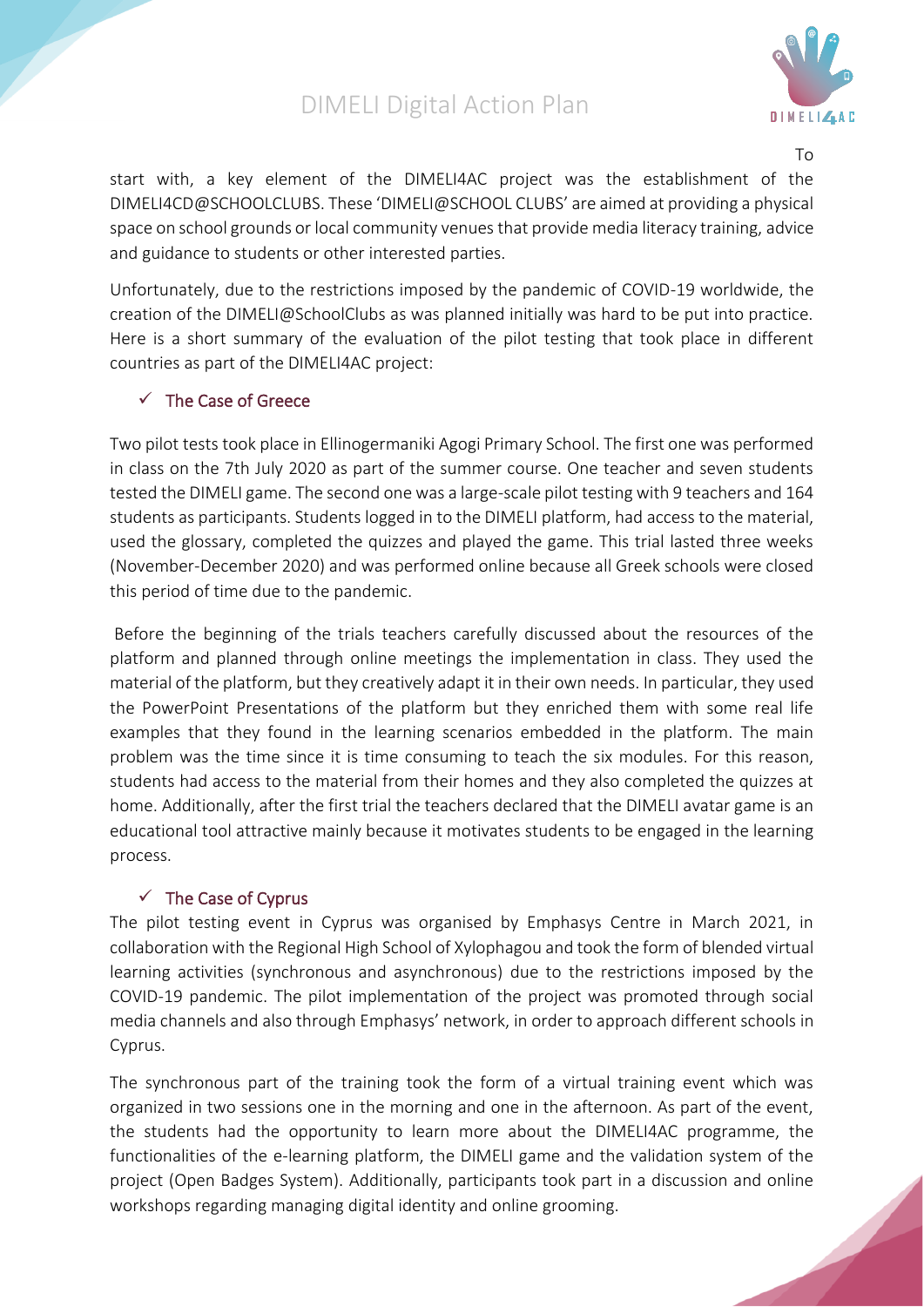

To

start with, a key element of the DIMELI4AC project was the establishment of the DIMELI4CD@SCHOOLCLUBS. These 'DIMELI@SCHOOL CLUBS' are aimed at providing a physical space on school grounds or local community venues that provide media literacy training, advice and guidance to students or other interested parties.

Unfortunately, due to the restrictions imposed by the pandemic of COVID-19 worldwide, the creation of the DIMELI@SchoolClubs as was planned initially was hard to be put into practice. Here is a short summary of the evaluation of the pilot testing that took place in different countries as part of the DIMELI4AC project:

#### <span id="page-10-0"></span>✓ The Case of Greece

Two pilot tests took place in Ellinogermaniki Agogi Primary School. The first one was performed in class on the 7th July 2020 as part of the summer course. One teacher and seven students tested the DIMELI game. The second one was a large-scale pilot testing with 9 teachers and 164 students as participants. Students logged in to the DIMELI platform, had access to the material, used the glossary, completed the quizzes and played the game. This trial lasted three weeks (November-December 2020) and was performed online because all Greek schools were closed this period of time due to the pandemic.

Before the beginning of the trials teachers carefully discussed about the resources of the platform and planned through online meetings the implementation in class. They used the material of the platform, but they creatively adapt it in their own needs. In particular, they used the PowerPoint Presentations of the platform but they enriched them with some real life examples that they found in the learning scenarios embedded in the platform. The main problem was the time since it is time consuming to teach the six modules. For this reason, students had access to the material from their homes and they also completed the quizzes at home. Additionally, after the first trial the teachers declared that the DIMELI avatar game is an educational tool attractive mainly because it motivates students to be engaged in the learning process.

#### $\checkmark$  The Case of Cyprus

<span id="page-10-1"></span>The pilot testing event in Cyprus was organised by Emphasys Centre in March 2021, in collaboration with the Regional High School of Xylophagou and took the form of blended virtual learning activities (synchronous and asynchronous) due to the restrictions imposed by the COVID-19 pandemic. The pilot implementation of the project was promoted through social media channels and also through Emphasys' network, in order to approach different schools in Cyprus.

The synchronous part of the training took the form of a virtual training event which was organized in two sessions one in the morning and one in the afternoon. As part of the event, the students had the opportunity to learn more about the DIMELI4AC programme, the functionalities of the e-learning platform, the DIMELI game and the validation system of the project (Open Badges System). Additionally, participants took part in a discussion and online workshops regarding managing digital identity and online grooming.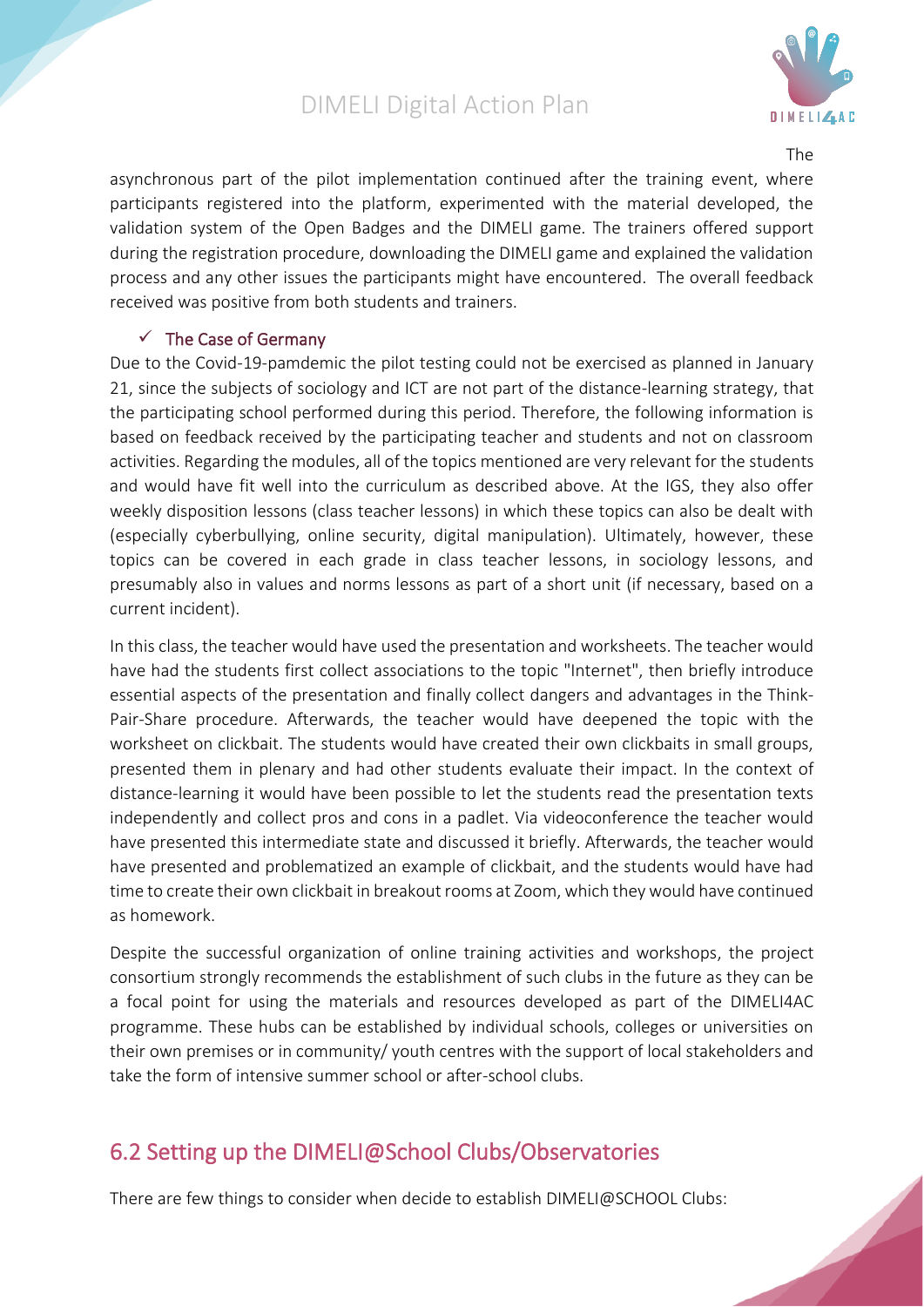

The

asynchronous part of the pilot implementation continued after the training event, where participants registered into the platform, experimented with the material developed, the validation system of the Open Badges and the DIMELI game. The trainers offered support during the registration procedure, downloading the DIMELI game and explained the validation process and any other issues the participants might have encountered. The overall feedback received was positive from both students and trainers.

#### $\checkmark$  The Case of Germany

<span id="page-11-0"></span>Due to the Covid-19-pamdemic the pilot testing could not be exercised as planned in January 21, since the subjects of sociology and ICT are not part of the distance-learning strategy, that the participating school performed during this period. Therefore, the following information is based on feedback received by the participating teacher and students and not on classroom activities. Regarding the modules, all of the topics mentioned are very relevant for the students and would have fit well into the curriculum as described above. At the IGS, they also offer weekly disposition lessons (class teacher lessons) in which these topics can also be dealt with (especially cyberbullying, online security, digital manipulation). Ultimately, however, these topics can be covered in each grade in class teacher lessons, in sociology lessons, and presumably also in values and norms lessons as part of a short unit (if necessary, based on a current incident).

In this class, the teacher would have used the presentation and worksheets. The teacher would have had the students first collect associations to the topic "Internet", then briefly introduce essential aspects of the presentation and finally collect dangers and advantages in the Think-Pair-Share procedure. Afterwards, the teacher would have deepened the topic with the worksheet on clickbait. The students would have created their own clickbaits in small groups, presented them in plenary and had other students evaluate their impact. In the context of distance-learning it would have been possible to let the students read the presentation texts independently and collect pros and cons in a padlet. Via videoconference the teacher would have presented this intermediate state and discussed it briefly. Afterwards, the teacher would have presented and problematized an example of clickbait, and the students would have had time to create their own clickbait in breakout rooms at Zoom, which they would have continued as homework.

Despite the successful organization of online training activities and workshops, the project consortium strongly recommends the establishment of such clubs in the future as they can be a focal point for using the materials and resources developed as part of the DIMELI4AC programme. These hubs can be established by individual schools, colleges or universities on their own premises or in community/ youth centres with the support of local stakeholders and take the form of intensive summer school or after-school clubs.

# <span id="page-11-1"></span>6.2 Setting up the DIMELI@School Clubs/Observatories

There are few things to consider when decide to establish DIMELI@SCHOOL Clubs: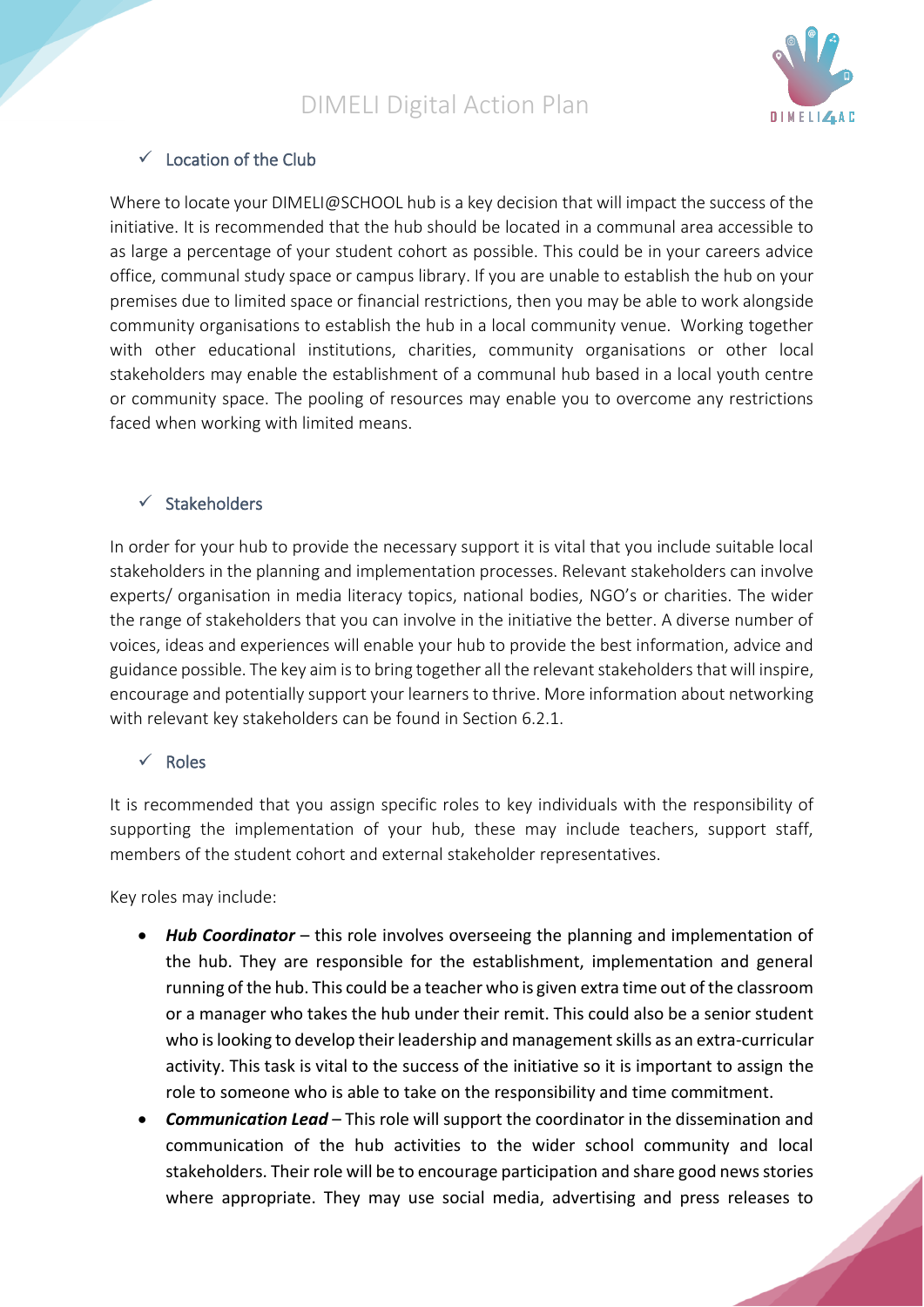

#### $\checkmark$  Location of the Club

Where to locate your DIMELI@SCHOOL hub is a key decision that will impact the success of the initiative. It is recommended that the hub should be located in a communal area accessible to as large a percentage of your student cohort as possible. This could be in your careers advice office, communal study space or campus library. If you are unable to establish the hub on your premises due to limited space or financial restrictions, then you may be able to work alongside community organisations to establish the hub in a local community venue. Working together with other educational institutions, charities, community organisations or other local stakeholders may enable the establishment of a communal hub based in a local youth centre or community space. The pooling of resources may enable you to overcome any restrictions faced when working with limited means.

#### ✓ Stakeholders

In order for your hub to provide the necessary support it is vital that you include suitable local stakeholders in the planning and implementation processes. Relevant stakeholders can involve experts/ organisation in media literacy topics, national bodies, NGO's or charities. The wider the range of stakeholders that you can involve in the initiative the better. A diverse number of voices, ideas and experiences will enable your hub to provide the best information, advice and guidance possible. The key aim isto bring together all the relevant stakeholders that will inspire, encourage and potentially support your learners to thrive. More information about networking with relevant key stakeholders can be found in Section 6.2.1.

#### ✓ Roles

It is recommended that you assign specific roles to key individuals with the responsibility of supporting the implementation of your hub, these may include teachers, support staff, members of the student cohort and external stakeholder representatives.

Key roles may include:

- *Hub Coordinator* this role involves overseeing the planning and implementation of the hub. They are responsible for the establishment, implementation and general running of the hub. This could be a teacher who is given extra time out of the classroom or a manager who takes the hub under their remit. This could also be a senior student who is looking to develop their leadership and management skills as an extra-curricular activity. This task is vital to the success of the initiative so it is important to assign the role to someone who is able to take on the responsibility and time commitment.
- *Communication Lead* This role will support the coordinator in the dissemination and communication of the hub activities to the wider school community and local stakeholders. Their role will be to encourage participation and share good news stories where appropriate. They may use social media, advertising and press releases to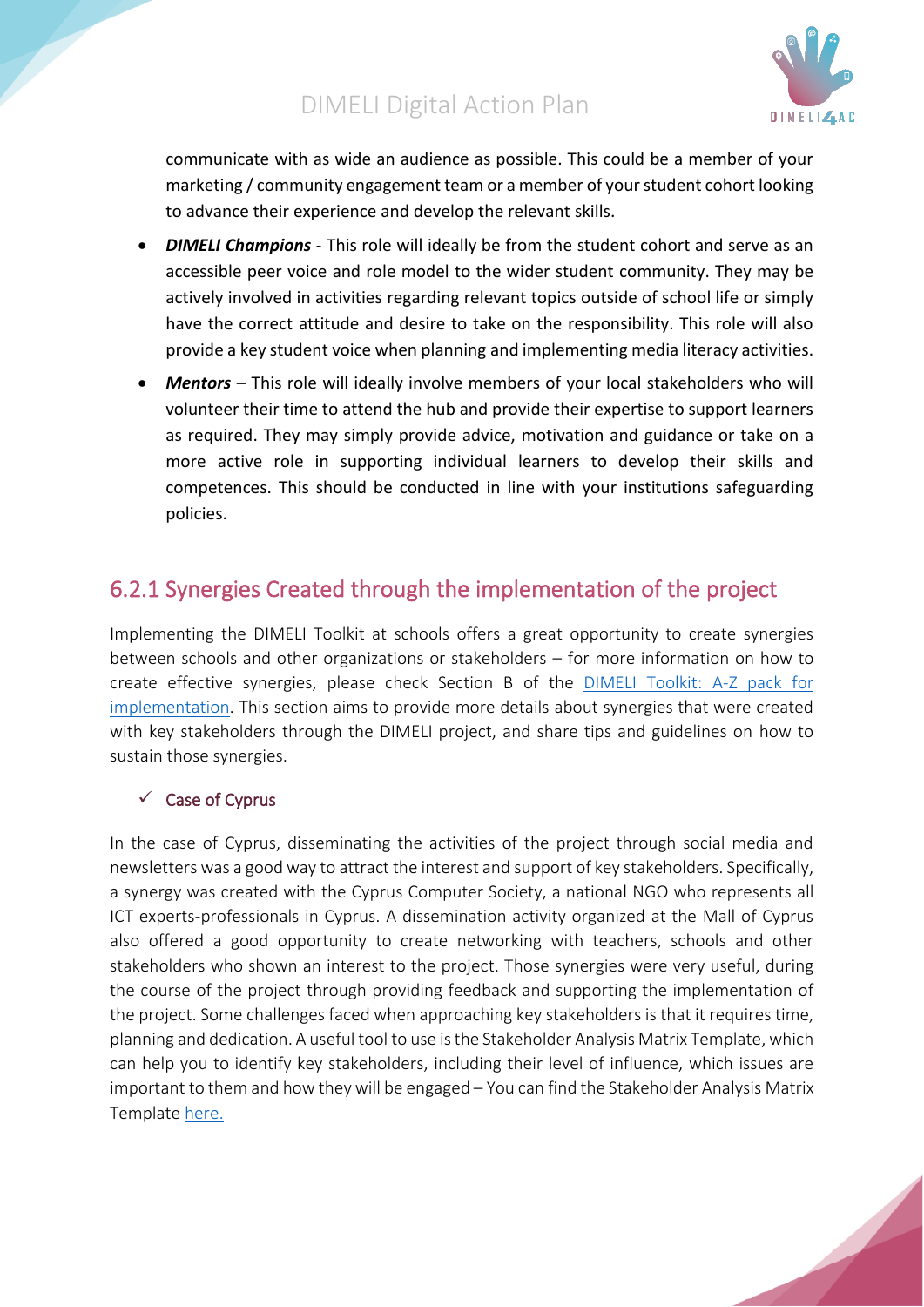

communicate with as wide an audience as possible. This could be a member of your marketing / community engagement team or a member of your student cohort looking to advance their experience and develop the relevant skills.

- *DIMELI Champions* This role will ideally be from the student cohort and serve as an accessible peer voice and role model to the wider student community. They may be actively involved in activities regarding relevant topics outside of school life or simply have the correct attitude and desire to take on the responsibility. This role will also provide a key student voice when planning and implementing media literacy activities.
- *Mentors* This role will ideally involve members of your local stakeholders who will volunteer their time to attend the hub and provide their expertise to support learners as required. They may simply provide advice, motivation and guidance or take on a more active role in supporting individual learners to develop their skills and competences. This should be conducted in line with your institutions safeguarding policies.

## <span id="page-13-0"></span>6.2.1 Synergies Created through the implementation of the project

Implementing the DIMELI Toolkit at schools offers a great opportunity to create synergies between schools and other organizations or stakeholders – for more information on how to create effective synergies, please check Section B of the [DIMELI Toolkit: A-Z pack for](http://dimeli.eu/a-zpack/)  [implementation.](http://dimeli.eu/a-zpack/) This section aims to provide more details about synergies that were created with key stakeholders through the DIMELI project, and share tips and guidelines on how to sustain those synergies.

#### <span id="page-13-1"></span> $\checkmark$  Case of Cyprus

In the case of Cyprus, disseminating the activities of the project through social media and newsletters was a good way to attract the interest and support of key stakeholders. Specifically, a synergy was created with the Cyprus Computer Society, a national NGO who represents all ICT experts-professionals in Cyprus. A dissemination activity organized at the Mall of Cyprus also offered a good opportunity to create networking with teachers, schools and other stakeholders who shown an interest to the project. Those synergies were very useful, during the course of the project through providing feedback and supporting the implementation of the project. Some challenges faced when approaching key stakeholders is that it requires time, planning and dedication. A useful tool to use is the Stakeholder Analysis Matrix Template, which can help you to identify key stakeholders, including their level of influence, which issues are important to them and how they will be engaged – You can find the Stakeholder Analysis Matrix Template [here.](http://www.tools4dev.org/resources/stakeholder-analysis-matrix-template/)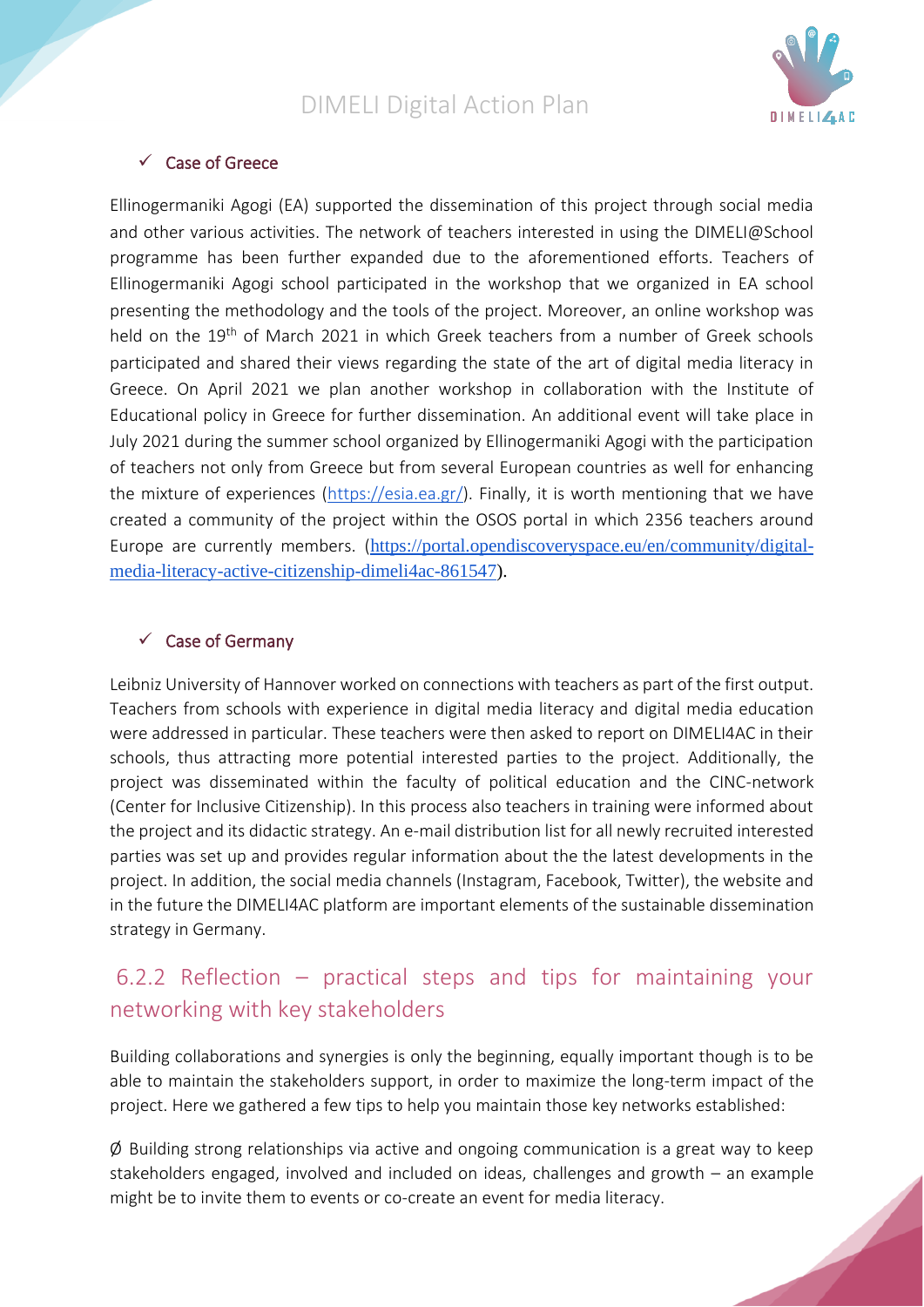

#### <span id="page-14-0"></span>✓ Case of Greece

Ellinogermaniki Agogi (EA) supported the dissemination of this project through social media and other various activities. The network of teachers interested in using the DIMELI@School programme has been further expanded due to the aforementioned efforts. Teachers of Ellinogermaniki Agogi school participated in the workshop that we organized in EA school presenting the methodology and the tools of the project. Moreover, an online workshop was held on the 19<sup>th</sup> of March 2021 in which Greek teachers from a number of Greek schools participated and shared their views regarding the state of the art of digital media literacy in Greece. On April 2021 we plan another workshop in collaboration with the Institute of Educational policy in Greece for further dissemination. An additional event will take place in July 2021 during the summer school organized by Ellinogermaniki Agogi with the participation of teachers not only from Greece but from several European countries as well for enhancing the mixture of experiences [\(https://esia.ea.gr/\)](https://esia.ea.gr/). Finally, it is worth mentioning that we have created a community of the project within the OSOS portal in which 2356 teachers around Europe are currently members. ([https://portal.opendiscoveryspace.eu/en/community/digital](https://portal.opendiscoveryspace.eu/en/community/digital-media-literacy-active-citizenship-dimeli4ac-861547)[media-literacy-active-citizenship-dimeli4ac-861547\)](https://portal.opendiscoveryspace.eu/en/community/digital-media-literacy-active-citizenship-dimeli4ac-861547).

#### <span id="page-14-1"></span> $\checkmark$  Case of Germany

Leibniz University of Hannover worked on connections with teachers as part of the first output. Teachers from schools with experience in digital media literacy and digital media education were addressed in particular. These teachers were then asked to report on DIMELI4AC in their schools, thus attracting more potential interested parties to the project. Additionally, the project was disseminated within the faculty of political education and the CINC-network (Center for Inclusive Citizenship). In this process also teachers in training were informed about the project and its didactic strategy. An e-mail distribution list for all newly recruited interested parties was set up and provides regular information about the the latest developments in the project. In addition, the social media channels (Instagram, Facebook, Twitter), the website and in the future the DIMELI4AC platform are important elements of the sustainable dissemination strategy in Germany.

## <span id="page-14-2"></span>6.2.2 Reflection – practical steps and tips for maintaining your networking with key stakeholders

Building collaborations and synergies is only the beginning, equally important though is to be able to maintain the stakeholders support, in order to maximize the long-term impact of the project. Here we gathered a few tips to help you maintain those key networks established:

 $\varnothing$  Building strong relationships via active and ongoing communication is a great way to keep stakeholders engaged, involved and included on ideas, challenges and growth – an example might be to invite them to events or co-create an event for media literacy.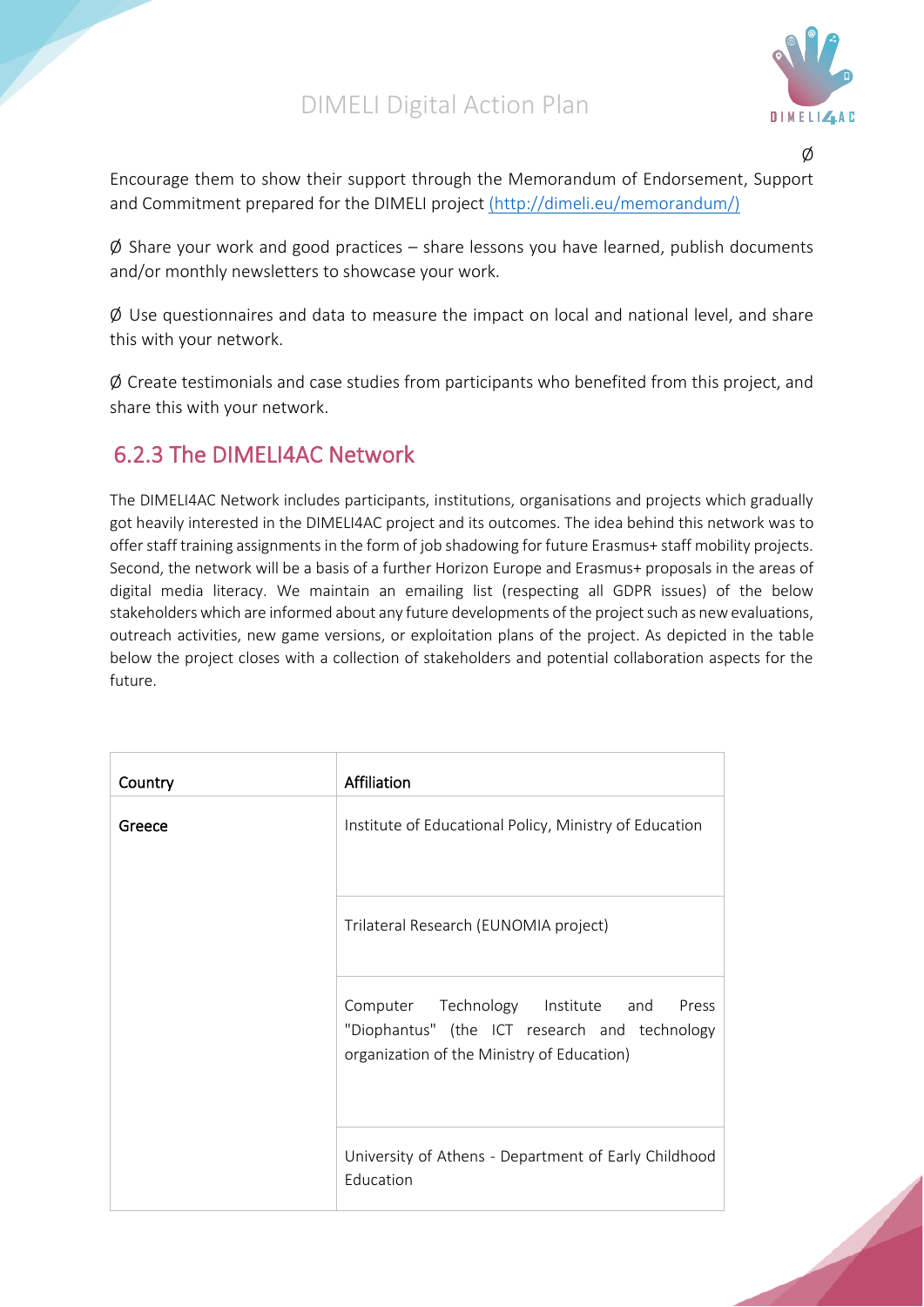

Ø

Encourage them to show their support through the Memorandum of Endorsement, Support and Commitment prepared for the DIMELI project [\(http://dimeli.eu/memorandum/\)](file:///C:/Users/User/Downloads/(http:/dimeli.eu/memorandum/))

 $\emptyset$  Share your work and good practices – share lessons you have learned, publish documents and/or monthly newsletters to showcase your work.

 $\varnothing$  Use questionnaires and data to measure the impact on local and national level, and share this with your network.

 $\emptyset$  Create testimonials and case studies from participants who benefited from this project, and share this with your network.

## <span id="page-15-0"></span>6.2.3 The DIMELI4AC Network

The DIMELI4AC Network includes participants, institutions, organisations and projects which gradually got heavily interested in the DIMELI4AC project and its outcomes. The idea behind this network was to offer staff training assignments in the form of job shadowing for future Erasmus+ staff mobility projects. Second, the network will be a basis of a further Horizon Europe and Erasmus+ proposals in the areas of digital media literacy. We maintain an emailing list (respecting all GDPR issues) of the below stakeholders which are informed about any future developments of the project such as new evaluations, outreach activities, new game versions, or exploitation plans of the project. As depicted in the table below the project closes with a collection of stakeholders and potential collaboration aspects for the future.

| Country | Affiliation                                                                                                                               |
|---------|-------------------------------------------------------------------------------------------------------------------------------------------|
| Greece  | Institute of Educational Policy, Ministry of Education                                                                                    |
|         | Trilateral Research (EUNOMIA project)                                                                                                     |
|         | Computer Technology Institute and<br>Press<br>"Diophantus" (the ICT research and technology<br>organization of the Ministry of Education) |
|         | University of Athens - Department of Early Childhood<br>Education                                                                         |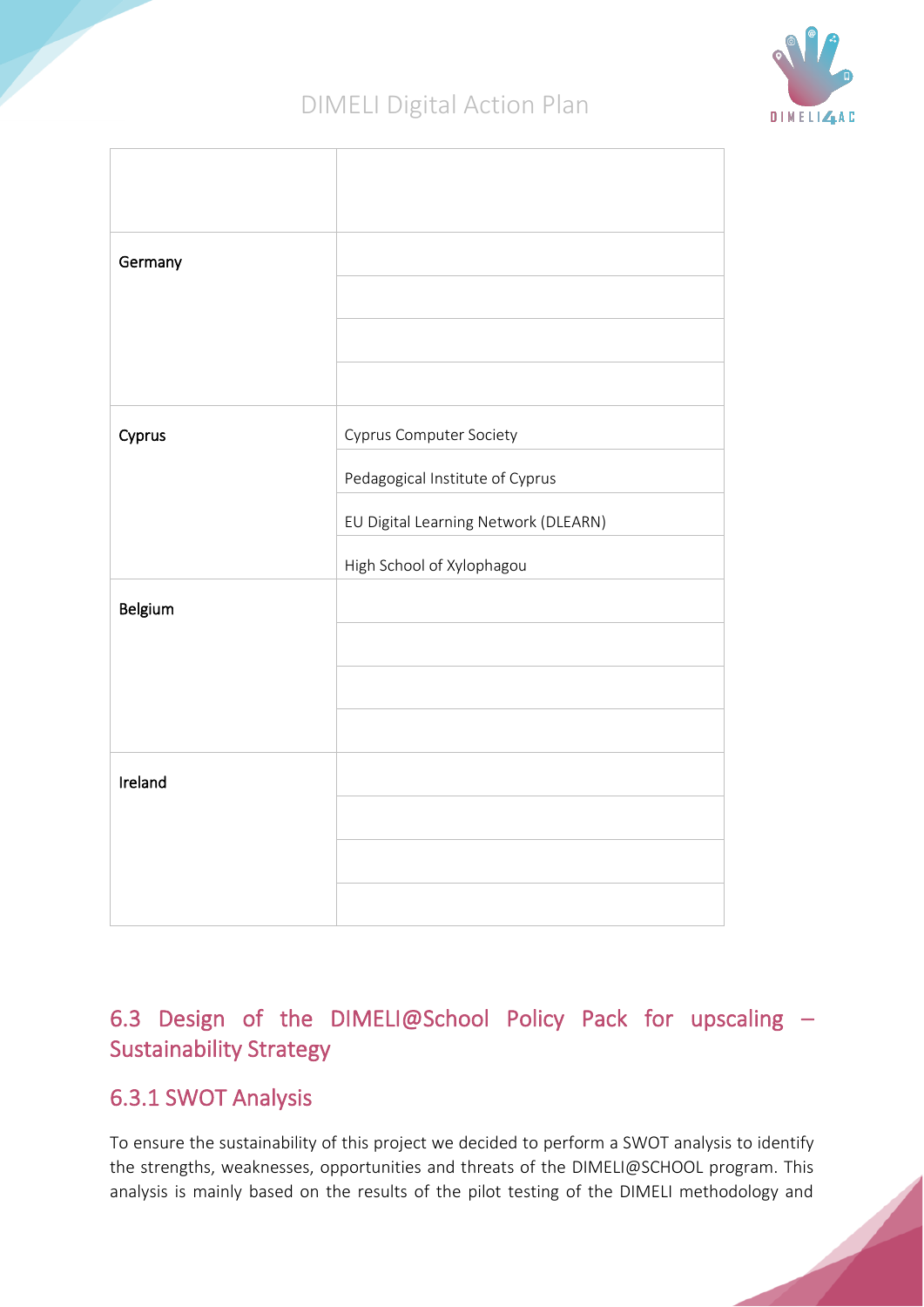

| Germany |                                      |
|---------|--------------------------------------|
|         |                                      |
|         |                                      |
|         |                                      |
| Cyprus  | <b>Cyprus Computer Society</b>       |
|         | Pedagogical Institute of Cyprus      |
|         | EU Digital Learning Network (DLEARN) |
|         | High School of Xylophagou            |
| Belgium |                                      |
|         |                                      |
|         |                                      |
|         |                                      |
| Ireland |                                      |
|         |                                      |
|         |                                      |
|         |                                      |

# <span id="page-16-0"></span>6.3 Design of the DIMELI@School Policy Pack for upscaling – Sustainability Strategy

## <span id="page-16-1"></span>6.3.1 SWOT Analysis

To ensure the sustainability of this project we decided to perform a SWOT analysis to identify the strengths, weaknesses, opportunities and threats of the DIMELI@SCHOOL program. This analysis is mainly based on the results of the pilot testing of the DIMELI methodology and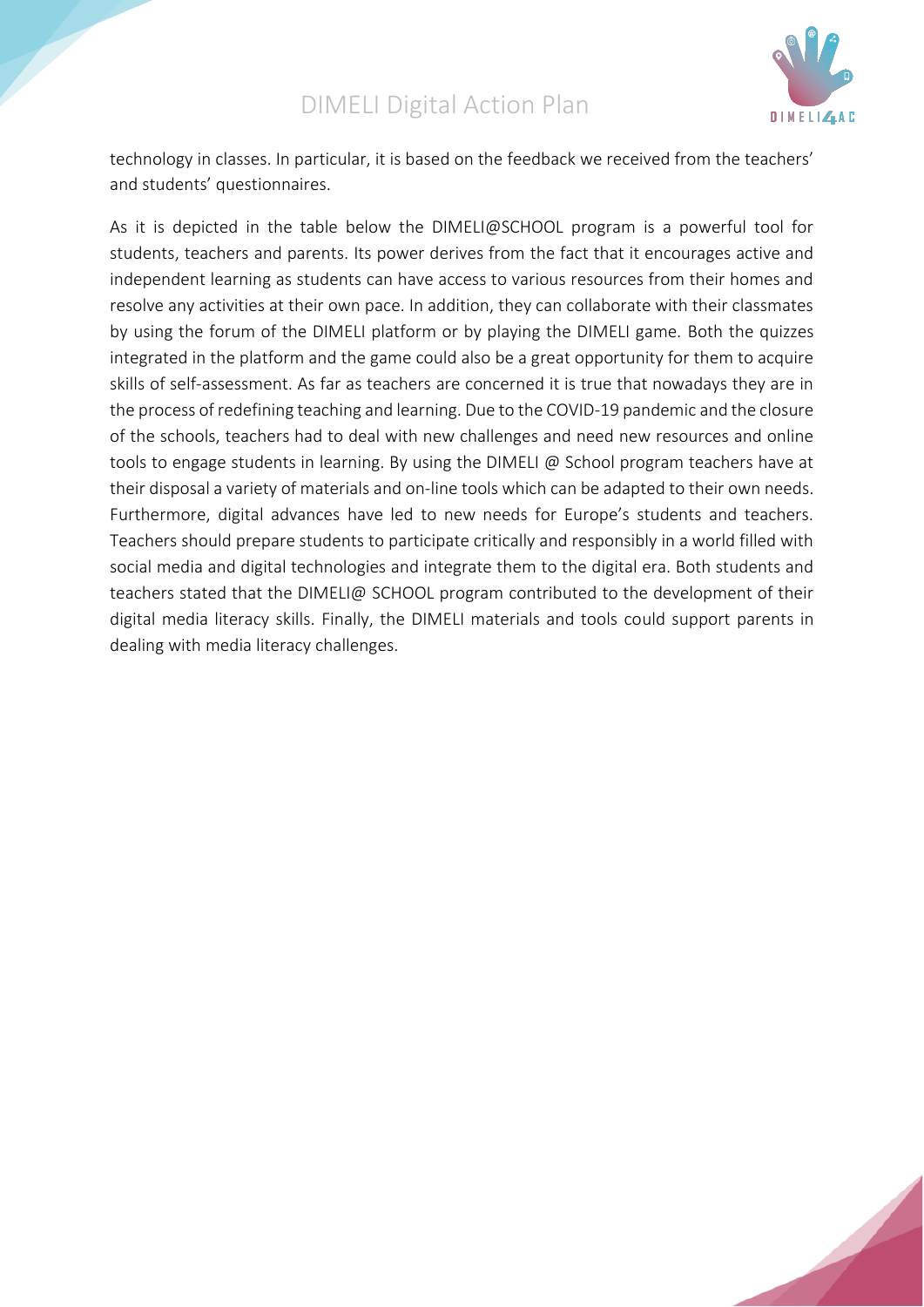

technology in classes. In particular, it is based on the feedback we received from the teachers' and students' questionnaires.

As it is depicted in the table below the DIMELI@SCHOOL program is a powerful tool for students, teachers and parents. Its power derives from the fact that it encourages active and independent learning as students can have access to various resources from their homes and resolve any activities at their own pace. In addition, they can collaborate with their classmates by using the forum of the DIMELI platform or by playing the DIMELI game. Both the quizzes integrated in the platform and the game could also be a great opportunity for them to acquire skills of self-assessment. As far as teachers are concerned it is true that nowadays they are in the process of redefining teaching and learning. Due to the COVID-19 pandemic and the closure of the schools, teachers had to deal with new challenges and need new resources and online tools to engage students in learning. By using the DIMELI @ School program teachers have at their disposal a variety of materials and on-line tools which can be adapted to their own needs. Furthermore, digital advances have led to new needs for Europe's students and teachers. Teachers should prepare students to participate critically and responsibly in a world filled with social media and digital technologies and integrate them to the digital era. Both students and teachers stated that the DIMELI@ SCHOOL program contributed to the development of their digital media literacy skills. Finally, the DIMELI materials and tools could support parents in dealing with media literacy challenges.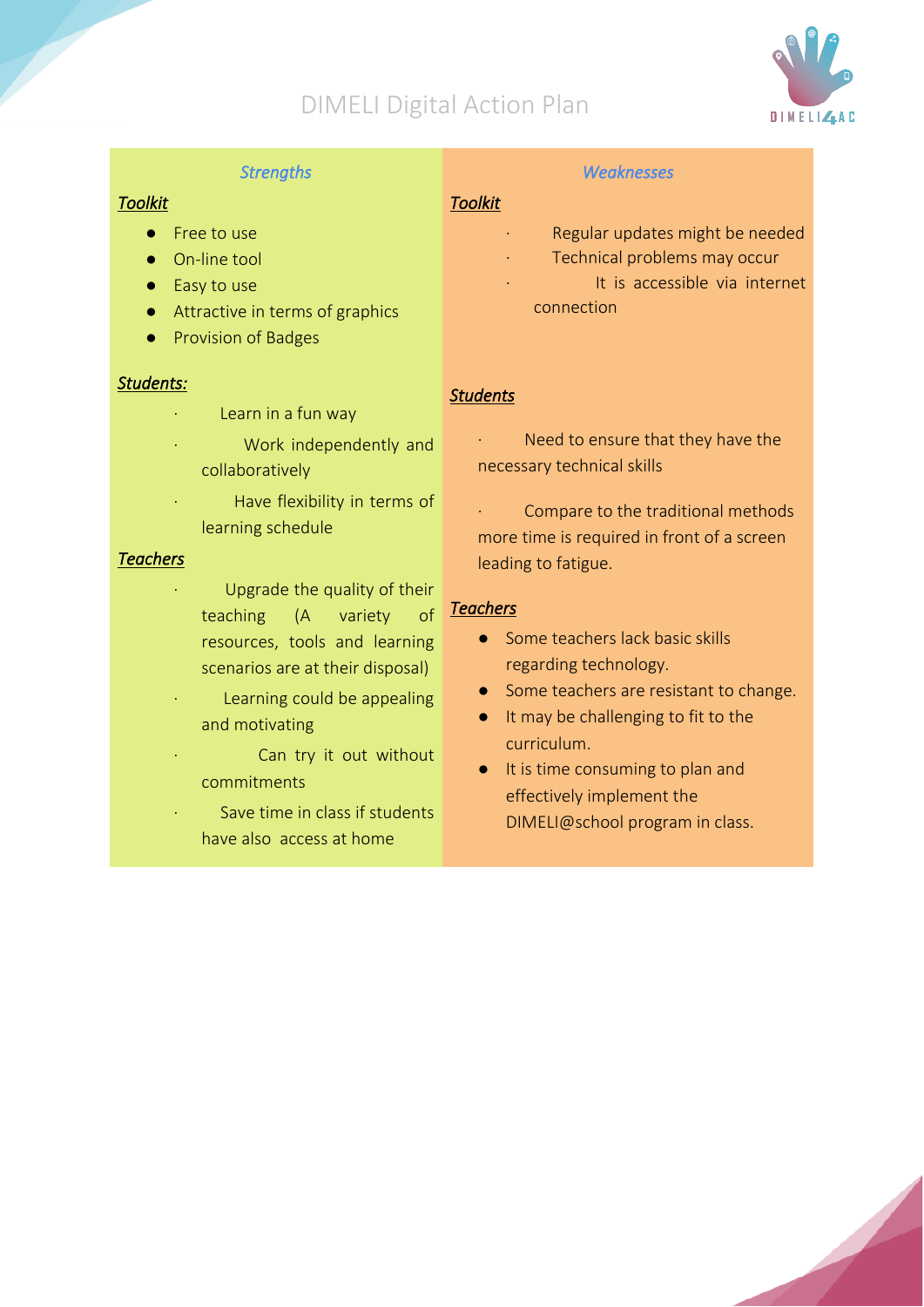

#### *Strengths*

#### *Toolkit*

- Free to use
- On-line tool
- Easy to use
- Attractive in terms of graphics
- Provision of Badges

#### *Students:*

- Learn in a fun way
- Work independently and collaboratively
- Have flexibility in terms of learning schedule

#### *Teachers*

- Upgrade the quality of their teaching (A variety resources, tools and learning scenarios are at their disposal)
- Learning could be appealing and motivating
- Can try it out without commitments
	- Save time in class if students have also access at home

#### *Weaknesses*

#### *Toolkit*

- Regular updates might be needed
- Technical problems may occur
- It is accessible via internet connection

#### *Students*

- Need to ensure that they have the necessary technical skills
- Compare to the traditional methods more time is required in front of a screen leading to fatigue.

# *Teachers*

- Some teachers lack basic skills regarding technology.
- Some teachers are resistant to change.
- It may be challenging to fit to the curriculum.
- It is time consuming to plan and effectively implement the DIMELI@school program in class.

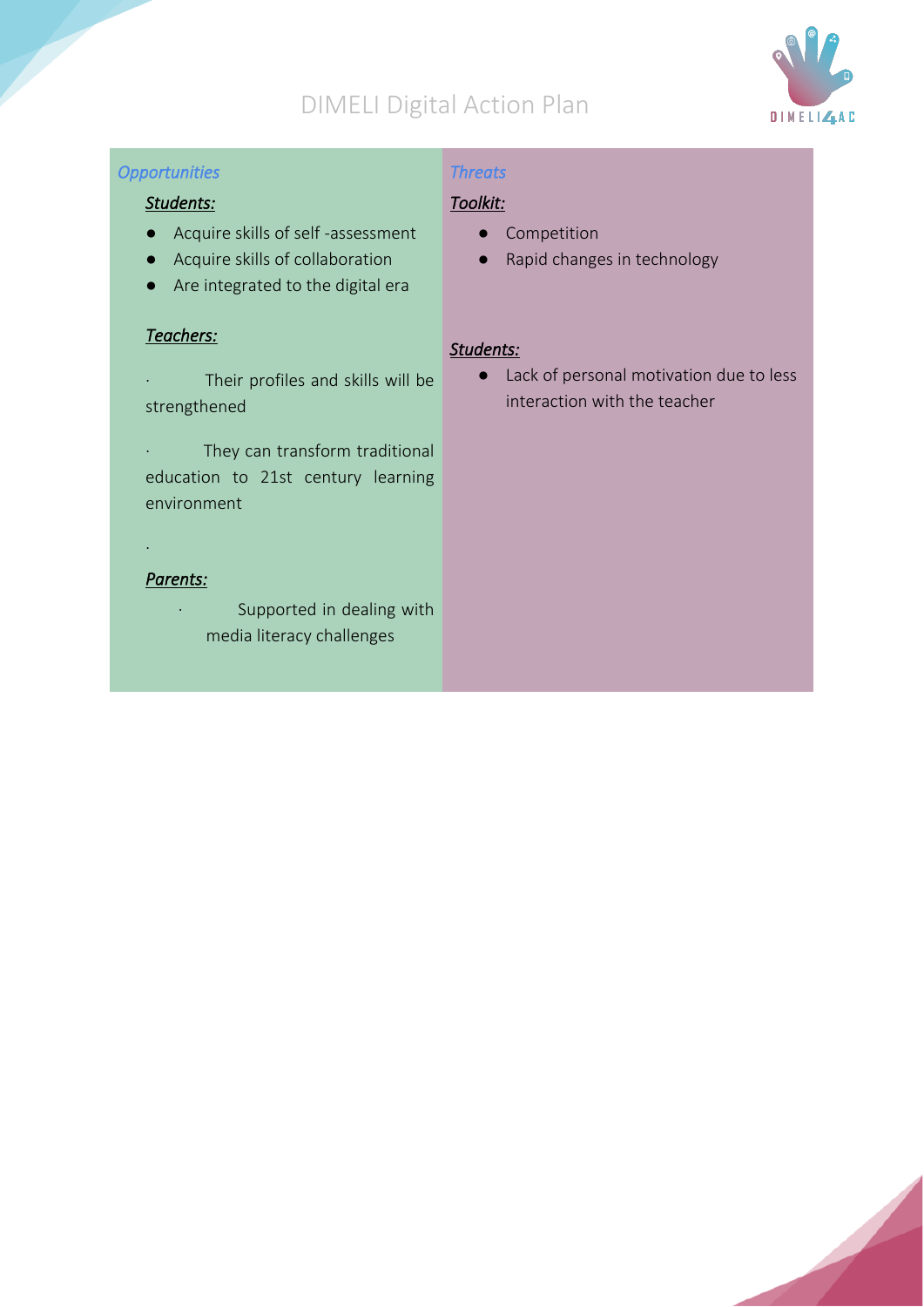

#### *Opportunities*

## *Threats*

#### *Students:*

- Acquire skills of self -assessment
- Acquire skills of collaboration
- Are integrated to the digital era

#### *Teachers:*

- · Their profiles and skills will be strengthened
- · They can transform traditional education to 21st century learning environment

#### *Parents:*

·

· Supported in dealing with media literacy challenges

## *Toolkit:*

- Competition
- Rapid changes in technology

#### *Students:*

● Lack of personal motivation due to less interaction with the teacher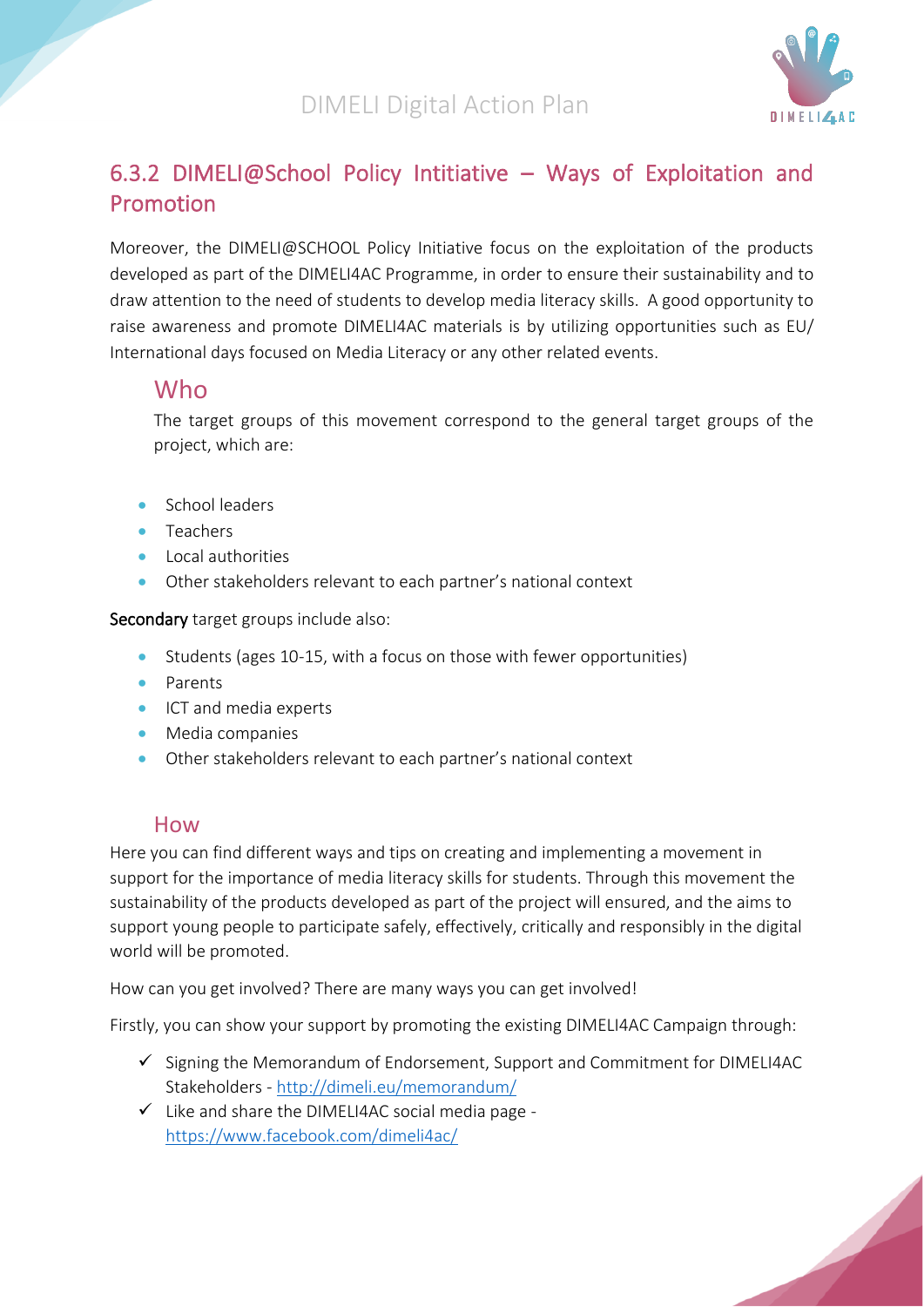

## <span id="page-20-0"></span>6.3.2 DIMELI@School Policy Intitiative – Ways of Exploitation and Promotion

Moreover, the DIMELI@SCHOOL Policy Initiative focus on the exploitation of the products developed as part of the DIMELI4AC Programme, in order to ensure their sustainability and to draw attention to the need of students to develop media literacy skills. A good opportunity to raise awareness and promote DIMELI4AC materials is by utilizing opportunities such as EU/ International days focused on Media Literacy or any other related events.

## <span id="page-20-1"></span>Who

<span id="page-20-2"></span>The target groups of this movement correspond to the general target groups of the project, which are:

- School leaders
- Teachers
- Local authorities
- Other stakeholders relevant to each partner's national context

Secondary target groups include also:

- Students (ages 10-15, with a focus on those with fewer opportunities)
- Parents
- ICT and media experts
- Media companies
- Other stakeholders relevant to each partner's national context

## How

<span id="page-20-3"></span>Here you can find different ways and tips on creating and implementing a movement in support for the importance of media literacy skills for students. Through this movement the sustainability of the products developed as part of the project will ensured, and the aims to support young people to participate safely, effectively, critically and responsibly in the digital world will be promoted.

How can you get involved? There are many ways you can get involved!

Firstly, you can show your support by promoting the existing DIMELI4AC Campaign through:

- $\checkmark$  Signing the Memorandum of Endorsement, Support and Commitment for DIMELI4AC Stakeholders - <http://dimeli.eu/memorandum/>
- $\checkmark$  Like and share the DIMELI4AC social media page <https://www.facebook.com/dimeli4ac/>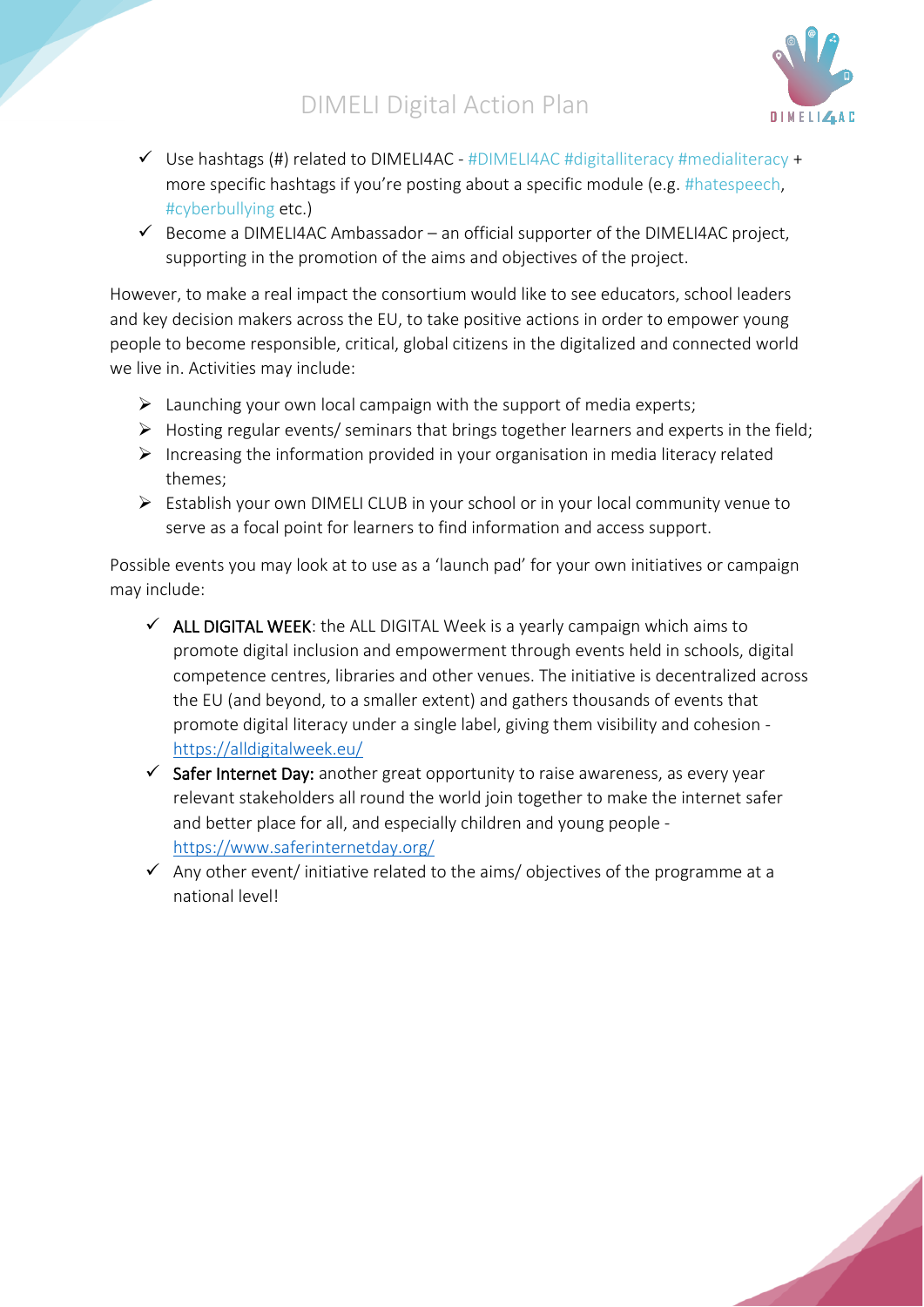

- $\checkmark$  Use hashtags (#) related to DIMELI4AC #DIMELI4AC #digitalliteracy #medialiteracy + more specific hashtags if you're posting about a specific module (e.g. #hatespeech, #cyberbullying etc.)
- $\checkmark$  Become a DIMELI4AC Ambassador an official supporter of the DIMELI4AC project, supporting in the promotion of the aims and objectives of the project.

However, to make a real impact the consortium would like to see educators, school leaders and key decision makers across the EU, to take positive actions in order to empower young people to become responsible, critical, global citizens in the digitalized and connected world we live in. Activities may include:

- $\triangleright$  Launching your own local campaign with the support of media experts;
- ➢ Hosting regular events/ seminars that brings together learners and experts in the field;
- $\triangleright$  Increasing the information provided in your organisation in media literacy related themes;
- ➢ Establish your own DIMELI CLUB in your school or in your local community venue to serve as a focal point for learners to find information and access support.

Possible events you may look at to use as a 'launch pad' for your own initiatives or campaign may include:

- $\checkmark$  ALL DIGITAL WEEK: the ALL DIGITAL Week is a yearly campaign which aims to promote digital inclusion and empowerment through events held in schools, digital competence centres, libraries and other venues. The initiative is decentralized across the EU (and beyond, to a smaller extent) and gathers thousands of events that promote digital literacy under a single label, giving them visibility and cohesion <https://alldigitalweek.eu/>
- $\checkmark$  Safer Internet Day: another great opportunity to raise awareness, as every year relevant stakeholders all round the world join together to make the internet safer and better place for all, and especially children and young people <https://www.saferinternetday.org/>
- $\checkmark$  Any other event/ initiative related to the aims/ objectives of the programme at a national level!